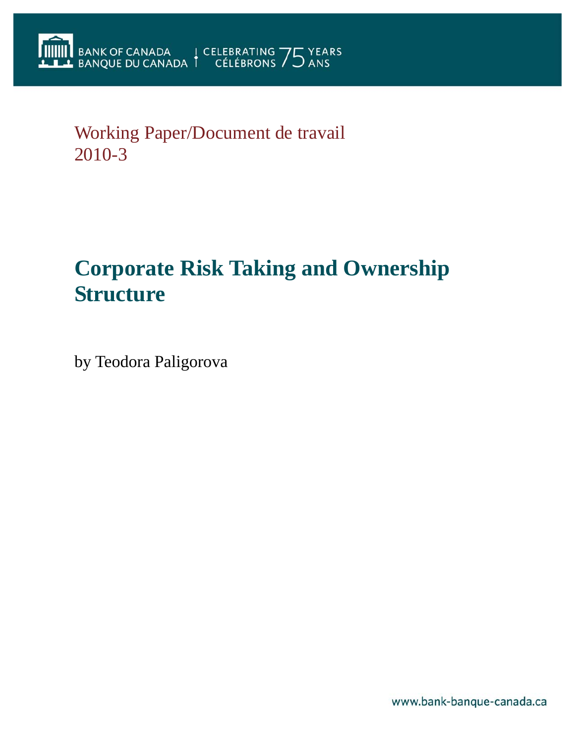# Working Paper/Document de travail 2010-3

# **Corporate Risk Taking and Ownership Structure**

by Teodora Paligorova

www.bank-banque-canada.ca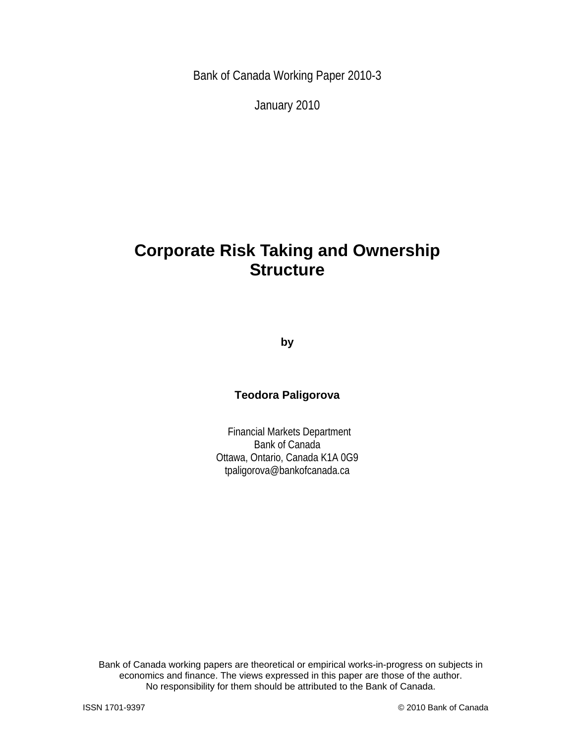Bank of Canada Working Paper 2010-3

January 2010

# **Corporate Risk Taking and Ownership Structure**

**by** 

# **Teodora Paligorova**

 Financial Markets Department Bank of Canada Ottawa, Ontario, Canada K1A 0G9 tpaligorova@bankofcanada.ca

Bank of Canada working papers are theoretical or empirical works-in-progress on subjects in economics and finance. The views expressed in this paper are those of the author. No responsibility for them should be attributed to the Bank of Canada.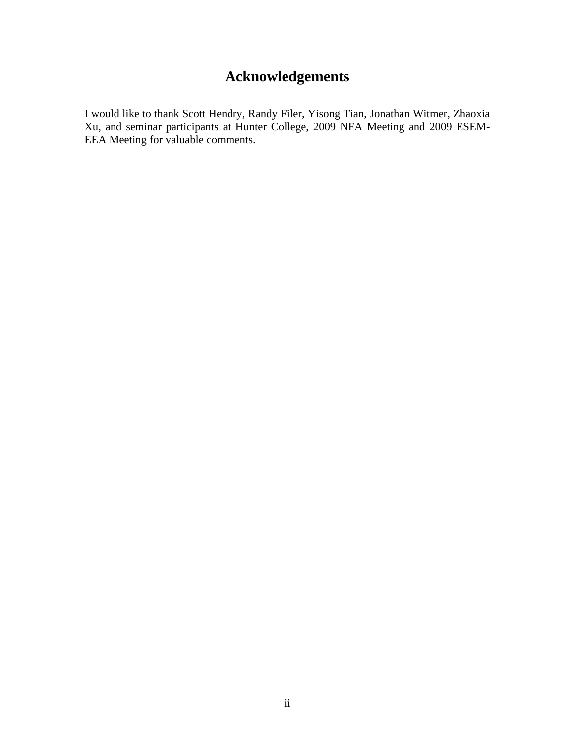# **Acknowledgements**

I would like to thank Scott Hendry, Randy Filer, Yisong Tian, Jonathan Witmer, Zhaoxia Xu, and seminar participants at Hunter College, 2009 NFA Meeting and 2009 ESEM-EEA Meeting for valuable comments.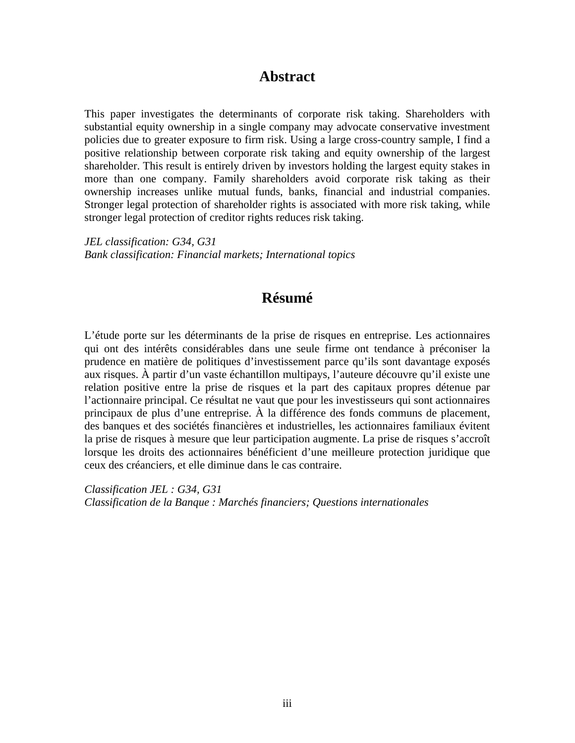# **Abstract**

This paper investigates the determinants of corporate risk taking. Shareholders with substantial equity ownership in a single company may advocate conservative investment policies due to greater exposure to firm risk. Using a large cross-country sample, I find a positive relationship between corporate risk taking and equity ownership of the largest shareholder. This result is entirely driven by investors holding the largest equity stakes in more than one company. Family shareholders avoid corporate risk taking as their ownership increases unlike mutual funds, banks, financial and industrial companies. Stronger legal protection of shareholder rights is associated with more risk taking, while stronger legal protection of creditor rights reduces risk taking.

*JEL classification: G34, G31 Bank classification: Financial markets; International topics* 

# **Résumé**

L'étude porte sur les déterminants de la prise de risques en entreprise. Les actionnaires qui ont des intérêts considérables dans une seule firme ont tendance à préconiser la prudence en matière de politiques d'investissement parce qu'ils sont davantage exposés aux risques. À partir d'un vaste échantillon multipays, l'auteure découvre qu'il existe une relation positive entre la prise de risques et la part des capitaux propres détenue par l'actionnaire principal. Ce résultat ne vaut que pour les investisseurs qui sont actionnaires principaux de plus d'une entreprise. À la différence des fonds communs de placement, des banques et des sociétés financières et industrielles, les actionnaires familiaux évitent la prise de risques à mesure que leur participation augmente. La prise de risques s'accroît lorsque les droits des actionnaires bénéficient d'une meilleure protection juridique que ceux des créanciers, et elle diminue dans le cas contraire.

*Classification JEL : G34, G31 Classification de la Banque : Marchés financiers; Questions internationales*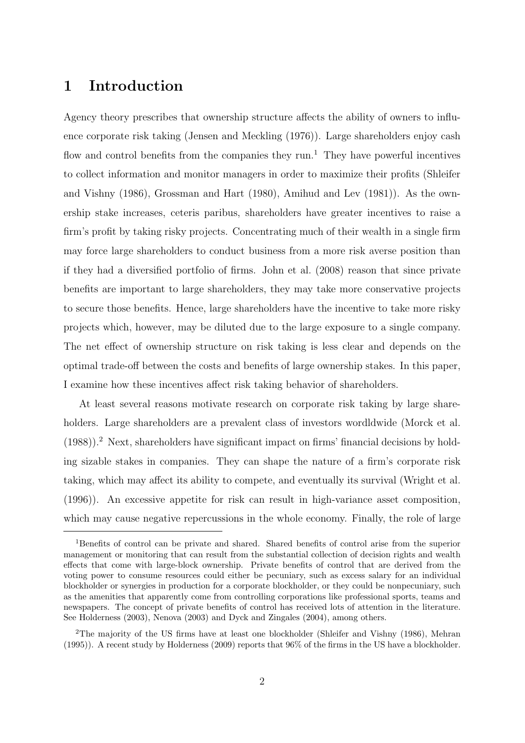# 1 Introduction

Agency theory prescribes that ownership structure affects the ability of owners to influence corporate risk taking (Jensen and Meckling (1976)). Large shareholders enjoy cash flow and control benefits from the companies they run.<sup>1</sup> They have powerful incentives to collect information and monitor managers in order to maximize their profits (Shleifer and Vishny (1986), Grossman and Hart (1980), Amihud and Lev (1981)). As the ownership stake increases, ceteris paribus, shareholders have greater incentives to raise a firm's profit by taking risky projects. Concentrating much of their wealth in a single firm may force large shareholders to conduct business from a more risk averse position than if they had a diversified portfolio of firms. John et al. (2008) reason that since private benefits are important to large shareholders, they may take more conservative projects to secure those benefits. Hence, large shareholders have the incentive to take more risky projects which, however, may be diluted due to the large exposure to a single company. The net effect of ownership structure on risk taking is less clear and depends on the optimal trade-off between the costs and benefits of large ownership stakes. In this paper, I examine how these incentives affect risk taking behavior of shareholders.

At least several reasons motivate research on corporate risk taking by large shareholders. Large shareholders are a prevalent class of investors wordldwide (Morck et al.  $(1988)$ ).<sup>2</sup> Next, shareholders have significant impact on firms' financial decisions by holding sizable stakes in companies. They can shape the nature of a firm's corporate risk taking, which may affect its ability to compete, and eventually its survival (Wright et al. (1996)). An excessive appetite for risk can result in high-variance asset composition, which may cause negative repercussions in the whole economy. Finally, the role of large

<sup>1</sup>Benefits of control can be private and shared. Shared benefits of control arise from the superior management or monitoring that can result from the substantial collection of decision rights and wealth effects that come with large-block ownership. Private benefits of control that are derived from the voting power to consume resources could either be pecuniary, such as excess salary for an individual blockholder or synergies in production for a corporate blockholder, or they could be nonpecuniary, such as the amenities that apparently come from controlling corporations like professional sports, teams and newspapers. The concept of private benefits of control has received lots of attention in the literature. See Holderness (2003), Nenova (2003) and Dyck and Zingales (2004), among others.

<sup>2</sup>The majority of the US firms have at least one blockholder (Shleifer and Vishny (1986), Mehran (1995)). A recent study by Holderness (2009) reports that 96% of the firms in the US have a blockholder.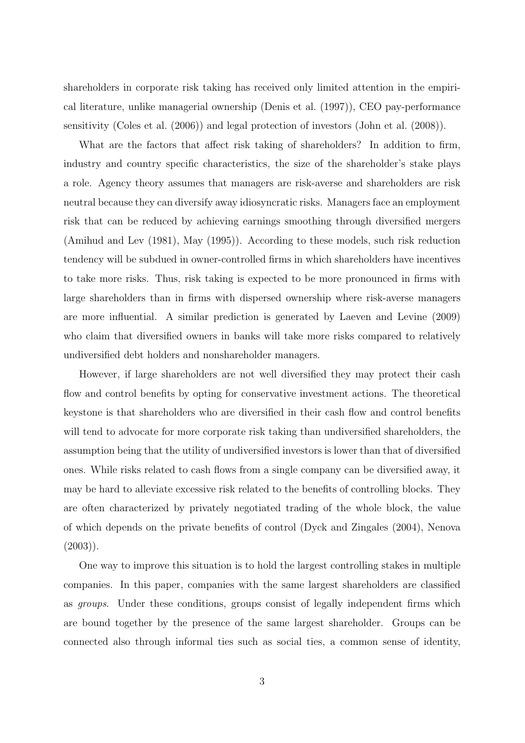shareholders in corporate risk taking has received only limited attention in the empirical literature, unlike managerial ownership (Denis et al. (1997)), CEO pay-performance sensitivity (Coles et al. (2006)) and legal protection of investors (John et al. (2008)).

What are the factors that affect risk taking of shareholders? In addition to firm, industry and country specific characteristics, the size of the shareholder's stake plays a role. Agency theory assumes that managers are risk-averse and shareholders are risk neutral because they can diversify away idiosyncratic risks. Managers face an employment risk that can be reduced by achieving earnings smoothing through diversified mergers (Amihud and Lev (1981), May (1995)). According to these models, such risk reduction tendency will be subdued in owner-controlled firms in which shareholders have incentives to take more risks. Thus, risk taking is expected to be more pronounced in firms with large shareholders than in firms with dispersed ownership where risk-averse managers are more influential. A similar prediction is generated by Laeven and Levine (2009) who claim that diversified owners in banks will take more risks compared to relatively undiversified debt holders and nonshareholder managers.

However, if large shareholders are not well diversified they may protect their cash flow and control benefits by opting for conservative investment actions. The theoretical keystone is that shareholders who are diversified in their cash flow and control benefits will tend to advocate for more corporate risk taking than undiversified shareholders, the assumption being that the utility of undiversified investors is lower than that of diversified ones. While risks related to cash flows from a single company can be diversified away, it may be hard to alleviate excessive risk related to the benefits of controlling blocks. They are often characterized by privately negotiated trading of the whole block, the value of which depends on the private benefits of control (Dyck and Zingales (2004), Nenova  $(2003)$ ).

One way to improve this situation is to hold the largest controlling stakes in multiple companies. In this paper, companies with the same largest shareholders are classified as groups. Under these conditions, groups consist of legally independent firms which are bound together by the presence of the same largest shareholder. Groups can be connected also through informal ties such as social ties, a common sense of identity,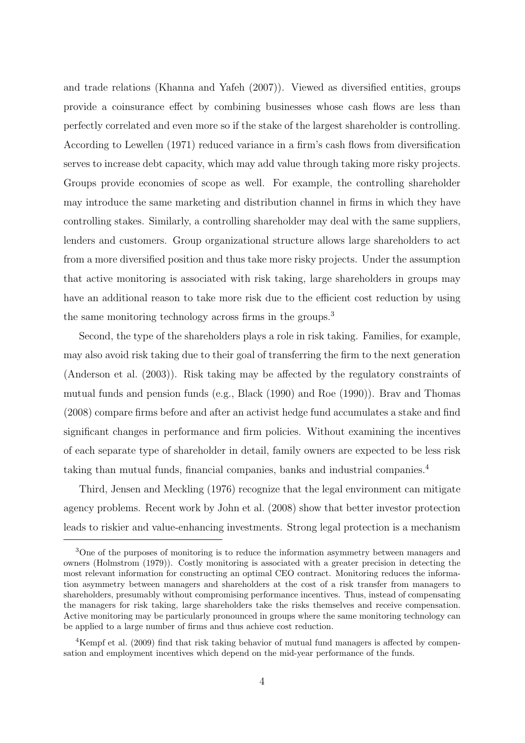and trade relations (Khanna and Yafeh (2007)). Viewed as diversified entities, groups provide a coinsurance effect by combining businesses whose cash flows are less than perfectly correlated and even more so if the stake of the largest shareholder is controlling. According to Lewellen (1971) reduced variance in a firm's cash flows from diversification serves to increase debt capacity, which may add value through taking more risky projects. Groups provide economies of scope as well. For example, the controlling shareholder may introduce the same marketing and distribution channel in firms in which they have controlling stakes. Similarly, a controlling shareholder may deal with the same suppliers, lenders and customers. Group organizational structure allows large shareholders to act from a more diversified position and thus take more risky projects. Under the assumption that active monitoring is associated with risk taking, large shareholders in groups may have an additional reason to take more risk due to the efficient cost reduction by using the same monitoring technology across firms in the groups.<sup>3</sup>

Second, the type of the shareholders plays a role in risk taking. Families, for example, may also avoid risk taking due to their goal of transferring the firm to the next generation (Anderson et al. (2003)). Risk taking may be affected by the regulatory constraints of mutual funds and pension funds (e.g., Black (1990) and Roe (1990)). Brav and Thomas (2008) compare firms before and after an activist hedge fund accumulates a stake and find significant changes in performance and firm policies. Without examining the incentives of each separate type of shareholder in detail, family owners are expected to be less risk taking than mutual funds, financial companies, banks and industrial companies.<sup>4</sup>

Third, Jensen and Meckling (1976) recognize that the legal environment can mitigate agency problems. Recent work by John et al. (2008) show that better investor protection leads to riskier and value-enhancing investments. Strong legal protection is a mechanism

<sup>&</sup>lt;sup>3</sup>One of the purposes of monitoring is to reduce the information asymmetry between managers and owners (Holmstrom (1979)). Costly monitoring is associated with a greater precision in detecting the most relevant information for constructing an optimal CEO contract. Monitoring reduces the information asymmetry between managers and shareholders at the cost of a risk transfer from managers to shareholders, presumably without compromising performance incentives. Thus, instead of compensating the managers for risk taking, large shareholders take the risks themselves and receive compensation. Active monitoring may be particularly pronounced in groups where the same monitoring technology can be applied to a large number of firms and thus achieve cost reduction.

<sup>&</sup>lt;sup>4</sup>Kempf et al. (2009) find that risk taking behavior of mutual fund managers is affected by compensation and employment incentives which depend on the mid-year performance of the funds.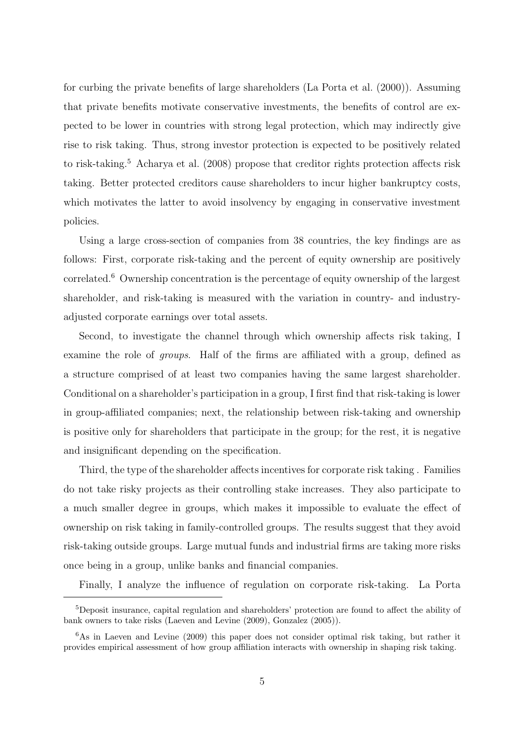for curbing the private benefits of large shareholders (La Porta et al. (2000)). Assuming that private benefits motivate conservative investments, the benefits of control are expected to be lower in countries with strong legal protection, which may indirectly give rise to risk taking. Thus, strong investor protection is expected to be positively related to risk-taking.<sup>5</sup> Acharya et al. (2008) propose that creditor rights protection affects risk taking. Better protected creditors cause shareholders to incur higher bankruptcy costs, which motivates the latter to avoid insolvency by engaging in conservative investment policies.

Using a large cross-section of companies from 38 countries, the key findings are as follows: First, corporate risk-taking and the percent of equity ownership are positively correlated.<sup>6</sup> Ownership concentration is the percentage of equity ownership of the largest shareholder, and risk-taking is measured with the variation in country- and industryadjusted corporate earnings over total assets.

Second, to investigate the channel through which ownership affects risk taking, I examine the role of groups. Half of the firms are affiliated with a group, defined as a structure comprised of at least two companies having the same largest shareholder. Conditional on a shareholder's participation in a group, I first find that risk-taking is lower in group-affiliated companies; next, the relationship between risk-taking and ownership is positive only for shareholders that participate in the group; for the rest, it is negative and insignificant depending on the specification.

Third, the type of the shareholder affects incentives for corporate risk taking . Families do not take risky projects as their controlling stake increases. They also participate to a much smaller degree in groups, which makes it impossible to evaluate the effect of ownership on risk taking in family-controlled groups. The results suggest that they avoid risk-taking outside groups. Large mutual funds and industrial firms are taking more risks once being in a group, unlike banks and financial companies.

Finally, I analyze the influence of regulation on corporate risk-taking. La Porta

<sup>5</sup>Deposit insurance, capital regulation and shareholders' protection are found to affect the ability of bank owners to take risks (Laeven and Levine (2009), Gonzalez (2005)).

 $6$ As in Laeven and Levine (2009) this paper does not consider optimal risk taking, but rather it provides empirical assessment of how group affiliation interacts with ownership in shaping risk taking.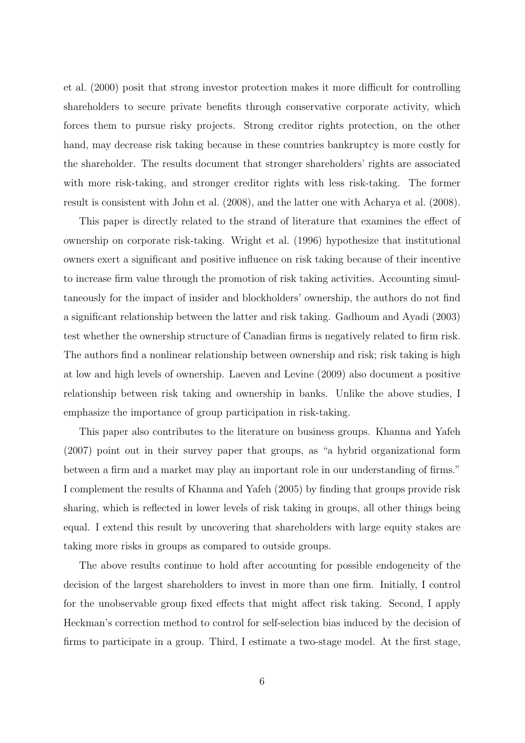et al. (2000) posit that strong investor protection makes it more difficult for controlling shareholders to secure private benefits through conservative corporate activity, which forces them to pursue risky projects. Strong creditor rights protection, on the other hand, may decrease risk taking because in these countries bankruptcy is more costly for the shareholder. The results document that stronger shareholders' rights are associated with more risk-taking, and stronger creditor rights with less risk-taking. The former result is consistent with John et al. (2008), and the latter one with Acharya et al. (2008).

This paper is directly related to the strand of literature that examines the effect of ownership on corporate risk-taking. Wright et al. (1996) hypothesize that institutional owners exert a significant and positive influence on risk taking because of their incentive to increase firm value through the promotion of risk taking activities. Accounting simultaneously for the impact of insider and blockholders' ownership, the authors do not find a significant relationship between the latter and risk taking. Gadhoum and Ayadi (2003) test whether the ownership structure of Canadian firms is negatively related to firm risk. The authors find a nonlinear relationship between ownership and risk; risk taking is high at low and high levels of ownership. Laeven and Levine (2009) also document a positive relationship between risk taking and ownership in banks. Unlike the above studies, I emphasize the importance of group participation in risk-taking.

This paper also contributes to the literature on business groups. Khanna and Yafeh (2007) point out in their survey paper that groups, as "a hybrid organizational form between a firm and a market may play an important role in our understanding of firms." I complement the results of Khanna and Yafeh (2005) by finding that groups provide risk sharing, which is reflected in lower levels of risk taking in groups, all other things being equal. I extend this result by uncovering that shareholders with large equity stakes are taking more risks in groups as compared to outside groups.

The above results continue to hold after accounting for possible endogeneity of the decision of the largest shareholders to invest in more than one firm. Initially, I control for the unobservable group fixed effects that might affect risk taking. Second, I apply Heckman's correction method to control for self-selection bias induced by the decision of firms to participate in a group. Third, I estimate a two-stage model. At the first stage,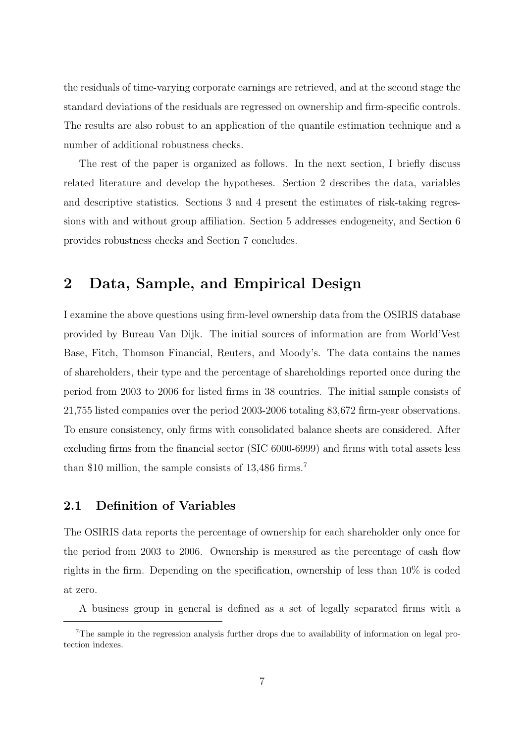the residuals of time-varying corporate earnings are retrieved, and at the second stage the standard deviations of the residuals are regressed on ownership and firm-specific controls. The results are also robust to an application of the quantile estimation technique and a number of additional robustness checks.

The rest of the paper is organized as follows. In the next section, I briefly discuss related literature and develop the hypotheses. Section 2 describes the data, variables and descriptive statistics. Sections 3 and 4 present the estimates of risk-taking regressions with and without group affiliation. Section 5 addresses endogeneity, and Section 6 provides robustness checks and Section 7 concludes.

# 2 Data, Sample, and Empirical Design

I examine the above questions using firm-level ownership data from the OSIRIS database provided by Bureau Van Dijk. The initial sources of information are from World'Vest Base, Fitch, Thomson Financial, Reuters, and Moody's. The data contains the names of shareholders, their type and the percentage of shareholdings reported once during the period from 2003 to 2006 for listed firms in 38 countries. The initial sample consists of 21,755 listed companies over the period 2003-2006 totaling 83,672 firm-year observations. To ensure consistency, only firms with consolidated balance sheets are considered. After excluding firms from the financial sector (SIC 6000-6999) and firms with total assets less than \$10 million, the sample consists of 13,486 firms.<sup>7</sup>

### 2.1 Definition of Variables

The OSIRIS data reports the percentage of ownership for each shareholder only once for the period from 2003 to 2006. Ownership is measured as the percentage of cash flow rights in the firm. Depending on the specification, ownership of less than 10% is coded at zero.

A business group in general is defined as a set of legally separated firms with a

<sup>7</sup>The sample in the regression analysis further drops due to availability of information on legal protection indexes.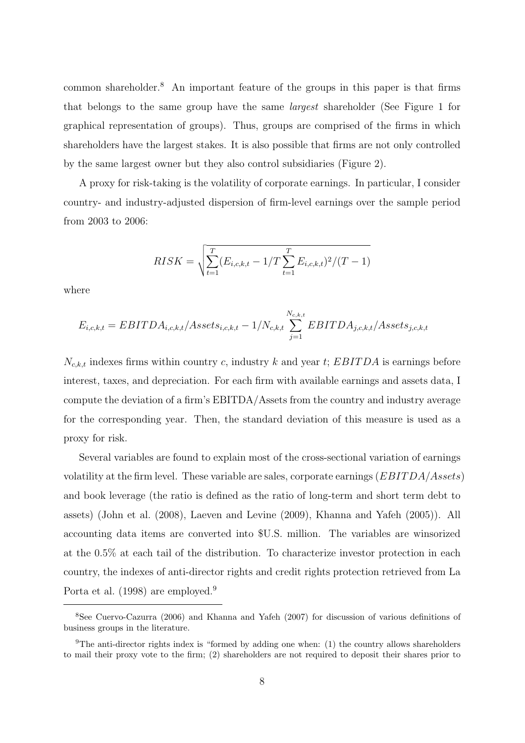common shareholder.<sup>8</sup> An important feature of the groups in this paper is that firms that belongs to the same group have the same largest shareholder (See Figure 1 for graphical representation of groups). Thus, groups are comprised of the firms in which shareholders have the largest stakes. It is also possible that firms are not only controlled by the same largest owner but they also control subsidiaries (Figure 2).

A proxy for risk-taking is the volatility of corporate earnings. In particular, I consider country- and industry-adjusted dispersion of firm-level earnings over the sample period from 2003 to 2006:

$$
RISK = \sqrt{\sum_{t=1}^{T} (E_{i,c,k,t} - 1/T \sum_{t=1}^{T} E_{i,c,k,t})^2 / (T - 1)}
$$

where

$$
E_{i,c,k,t} = EBITDA_{i,c,k,t}/Assets_{i,c,k,t} - 1/N_{c,k,t} \sum_{j=1}^{N_{c,k,t}} EBITDA_{j,c,k,t}/Assets_{j,c,k,t}
$$

 $N_{c,k,t}$  indexes firms within country c, industry k and year t; EBITDA is earnings before interest, taxes, and depreciation. For each firm with available earnings and assets data, I compute the deviation of a firm's EBITDA/Assets from the country and industry average for the corresponding year. Then, the standard deviation of this measure is used as a proxy for risk.

Several variables are found to explain most of the cross-sectional variation of earnings volatility at the firm level. These variable are sales, corporate earnings  $(EBITDA/Assets)$ and book leverage (the ratio is defined as the ratio of long-term and short term debt to assets) (John et al. (2008), Laeven and Levine (2009), Khanna and Yafeh (2005)). All accounting data items are converted into \$U.S. million. The variables are winsorized at the 0.5% at each tail of the distribution. To characterize investor protection in each country, the indexes of anti-director rights and credit rights protection retrieved from La Porta et al. (1998) are employed.<sup>9</sup>

<sup>8</sup>See Cuervo-Cazurra (2006) and Khanna and Yafeh (2007) for discussion of various definitions of business groups in the literature.

<sup>&</sup>lt;sup>9</sup>The anti-director rights index is "formed by adding one when: (1) the country allows shareholders to mail their proxy vote to the firm; (2) shareholders are not required to deposit their shares prior to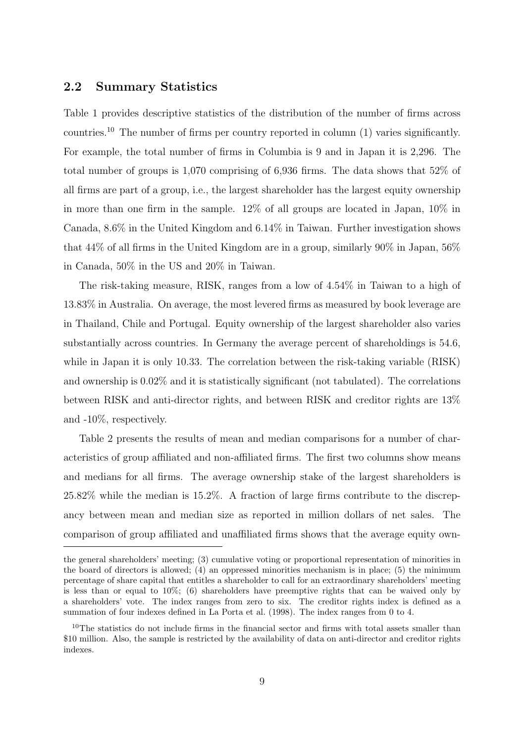### 2.2 Summary Statistics

Table 1 provides descriptive statistics of the distribution of the number of firms across countries.<sup>10</sup> The number of firms per country reported in column (1) varies significantly. For example, the total number of firms in Columbia is 9 and in Japan it is 2,296. The total number of groups is 1,070 comprising of 6,936 firms. The data shows that 52% of all firms are part of a group, i.e., the largest shareholder has the largest equity ownership in more than one firm in the sample. 12% of all groups are located in Japan, 10% in Canada, 8.6% in the United Kingdom and 6.14% in Taiwan. Further investigation shows that 44% of all firms in the United Kingdom are in a group, similarly 90% in Japan, 56% in Canada, 50% in the US and 20% in Taiwan.

The risk-taking measure, RISK, ranges from a low of 4.54% in Taiwan to a high of 13.83% in Australia. On average, the most levered firms as measured by book leverage are in Thailand, Chile and Portugal. Equity ownership of the largest shareholder also varies substantially across countries. In Germany the average percent of shareholdings is 54.6, while in Japan it is only 10.33. The correlation between the risk-taking variable (RISK) and ownership is 0.02% and it is statistically significant (not tabulated). The correlations between RISK and anti-director rights, and between RISK and creditor rights are 13% and -10%, respectively.

Table 2 presents the results of mean and median comparisons for a number of characteristics of group affiliated and non-affiliated firms. The first two columns show means and medians for all firms. The average ownership stake of the largest shareholders is 25.82% while the median is 15.2%. A fraction of large firms contribute to the discrepancy between mean and median size as reported in million dollars of net sales. The comparison of group affiliated and unaffiliated firms shows that the average equity own-

the general shareholders' meeting; (3) cumulative voting or proportional representation of minorities in the board of directors is allowed; (4) an oppressed minorities mechanism is in place; (5) the minimum percentage of share capital that entitles a shareholder to call for an extraordinary shareholders' meeting is less than or equal to 10%; (6) shareholders have preemptive rights that can be waived only by a shareholders' vote. The index ranges from zero to six. The creditor rights index is defined as a summation of four indexes defined in La Porta et al. (1998). The index ranges from 0 to 4.

<sup>&</sup>lt;sup>10</sup>The statistics do not include firms in the financial sector and firms with total assets smaller than \$10 million. Also, the sample is restricted by the availability of data on anti-director and creditor rights indexes.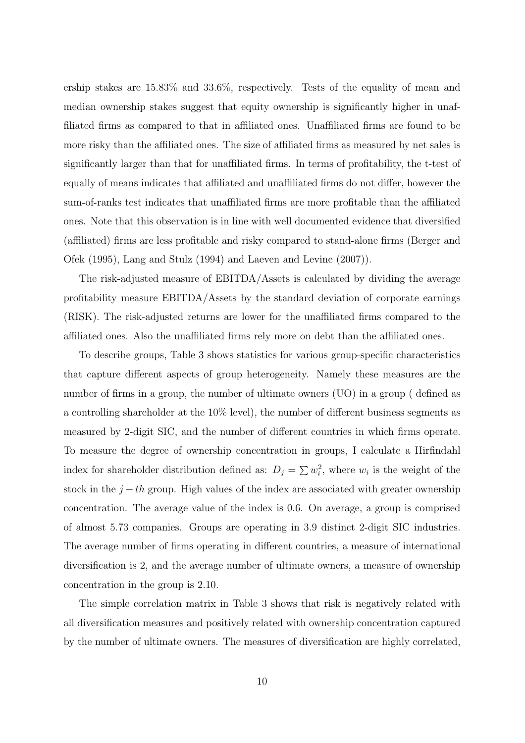ership stakes are 15.83% and 33.6%, respectively. Tests of the equality of mean and median ownership stakes suggest that equity ownership is significantly higher in unaffiliated firms as compared to that in affiliated ones. Unaffiliated firms are found to be more risky than the affiliated ones. The size of affiliated firms as measured by net sales is significantly larger than that for unaffiliated firms. In terms of profitability, the t-test of equally of means indicates that affiliated and unaffiliated firms do not differ, however the sum-of-ranks test indicates that unaffiliated firms are more profitable than the affiliated ones. Note that this observation is in line with well documented evidence that diversified (affiliated) firms are less profitable and risky compared to stand-alone firms (Berger and Ofek (1995), Lang and Stulz (1994) and Laeven and Levine (2007)).

The risk-adjusted measure of EBITDA/Assets is calculated by dividing the average profitability measure EBITDA/Assets by the standard deviation of corporate earnings (RISK). The risk-adjusted returns are lower for the unaffiliated firms compared to the affiliated ones. Also the unaffiliated firms rely more on debt than the affiliated ones.

To describe groups, Table 3 shows statistics for various group-specific characteristics that capture different aspects of group heterogeneity. Namely these measures are the number of firms in a group, the number of ultimate owners (UO) in a group ( defined as a controlling shareholder at the  $10\%$  level), the number of different business segments as measured by 2-digit SIC, and the number of different countries in which firms operate. To measure the degree of ownership concentration in groups, I calculate a Hirfindahl index for shareholder distribution defined as:  $D_j = \sum w_i^2$ , where  $w_i$  is the weight of the stock in the  $j-th$  group. High values of the index are associated with greater ownership concentration. The average value of the index is 0.6. On average, a group is comprised of almost 5.73 companies. Groups are operating in 3.9 distinct 2-digit SIC industries. The average number of firms operating in different countries, a measure of international diversification is 2, and the average number of ultimate owners, a measure of ownership concentration in the group is 2.10.

The simple correlation matrix in Table 3 shows that risk is negatively related with all diversification measures and positively related with ownership concentration captured by the number of ultimate owners. The measures of diversification are highly correlated,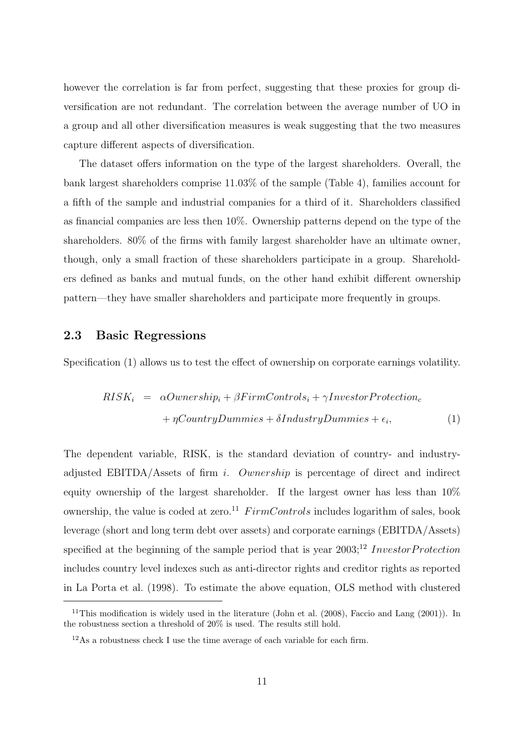however the correlation is far from perfect, suggesting that these proxies for group diversification are not redundant. The correlation between the average number of UO in a group and all other diversification measures is weak suggesting that the two measures capture different aspects of diversification.

The dataset offers information on the type of the largest shareholders. Overall, the bank largest shareholders comprise 11.03% of the sample (Table 4), families account for a fifth of the sample and industrial companies for a third of it. Shareholders classified as financial companies are less then 10%. Ownership patterns depend on the type of the shareholders. 80% of the firms with family largest shareholder have an ultimate owner, though, only a small fraction of these shareholders participate in a group. Shareholders defined as banks and mutual funds, on the other hand exhibit different ownership pattern—they have smaller shareholders and participate more frequently in groups.

### 2.3 Basic Regressions

Specification (1) allows us to test the effect of ownership on corporate earnings volatility.

$$
RISK_i = \alpha \text{Ownership}_i + \beta \text{FirmControls}_i + \gamma \text{Investor Protection}_c
$$

$$
+ \eta \text{CountryDummies} + \delta \text{IndustryDummies} + \epsilon_i,
$$

$$
\tag{1}
$$

The dependent variable, RISK, is the standard deviation of country- and industryadjusted EBITDA/Assets of firm i. Ownership is percentage of direct and indirect equity ownership of the largest shareholder. If the largest owner has less than 10% ownership, the value is coded at zero.<sup>11</sup> FirmControls includes logarithm of sales, book leverage (short and long term debt over assets) and corporate earnings (EBITDA/Assets) specified at the beginning of the sample period that is year  $2003$ ;<sup>12</sup> InvestorProtection includes country level indexes such as anti-director rights and creditor rights as reported in La Porta et al. (1998). To estimate the above equation, OLS method with clustered

<sup>&</sup>lt;sup>11</sup>This modification is widely used in the literature (John et al.  $(2008)$ , Faccio and Lang  $(2001)$ ). In the robustness section a threshold of 20% is used. The results still hold.

<sup>12</sup>As a robustness check I use the time average of each variable for each firm.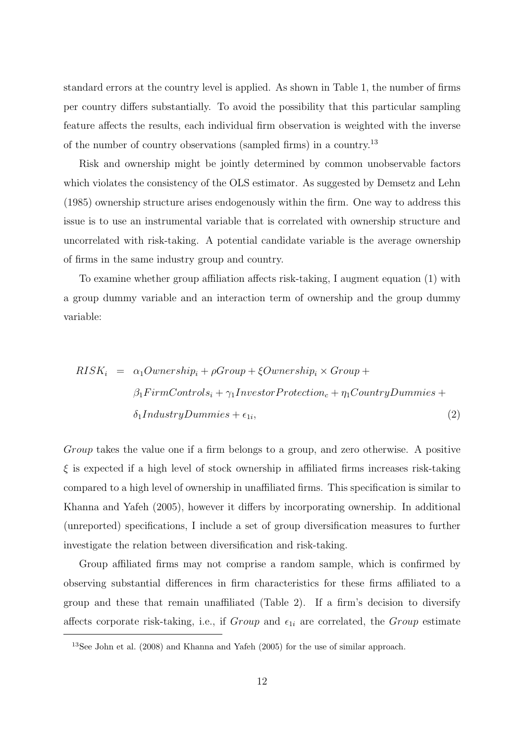standard errors at the country level is applied. As shown in Table 1, the number of firms per country differs substantially. To avoid the possibility that this particular sampling feature affects the results, each individual firm observation is weighted with the inverse of the number of country observations (sampled firms) in a country.<sup>13</sup>

Risk and ownership might be jointly determined by common unobservable factors which violates the consistency of the OLS estimator. As suggested by Demsetz and Lehn (1985) ownership structure arises endogenously within the firm. One way to address this issue is to use an instrumental variable that is correlated with ownership structure and uncorrelated with risk-taking. A potential candidate variable is the average ownership of firms in the same industry group and country.

To examine whether group affiliation affects risk-taking, I augment equation (1) with a group dummy variable and an interaction term of ownership and the group dummy variable:

$$
RISK_i = \alpha_1Ownership_i + \rho Group + \xiOwnership_i \times Group +
$$
  
\n
$$
\beta_1 FirmControls_i + \gamma_1 Investment Protection_c + \eta_1CountryDummies +
$$
  
\n
$$
\delta_1 IndustryDummies + \epsilon_{1i},
$$
\n(2)

Group takes the value one if a firm belongs to a group, and zero otherwise. A positive  $\xi$  is expected if a high level of stock ownership in affiliated firms increases risk-taking compared to a high level of ownership in unaffiliated firms. This specification is similar to Khanna and Yafeh (2005), however it differs by incorporating ownership. In additional (unreported) specifications, I include a set of group diversification measures to further investigate the relation between diversification and risk-taking.

Group affiliated firms may not comprise a random sample, which is confirmed by observing substantial differences in firm characteristics for these firms affiliated to a group and these that remain unaffiliated (Table 2). If a firm's decision to diversify affects corporate risk-taking, i.e., if  $Group$  and  $\epsilon_{1i}$  are correlated, the  $Group$  estimate

<sup>13</sup>See John et al. (2008) and Khanna and Yafeh (2005) for the use of similar approach.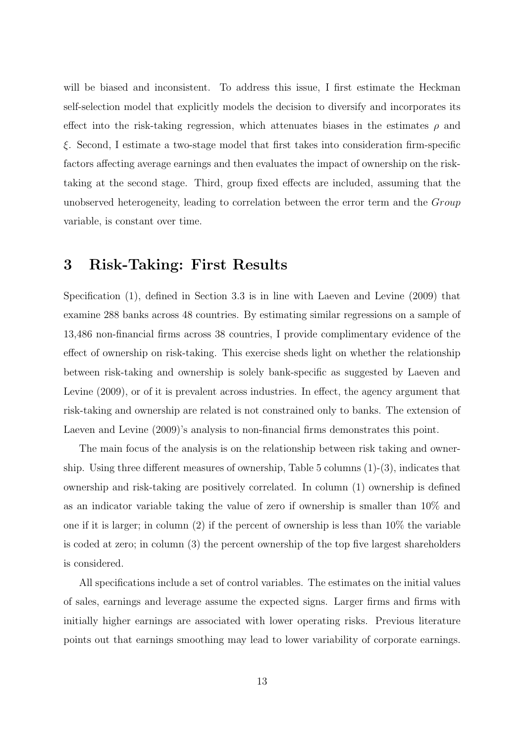will be biased and inconsistent. To address this issue, I first estimate the Heckman self-selection model that explicitly models the decision to diversify and incorporates its effect into the risk-taking regression, which attenuates biases in the estimates  $\rho$  and ξ. Second, I estimate a two-stage model that first takes into consideration firm-specific factors affecting average earnings and then evaluates the impact of ownership on the risktaking at the second stage. Third, group fixed effects are included, assuming that the unobserved heterogeneity, leading to correlation between the error term and the Group variable, is constant over time.

# 3 Risk-Taking: First Results

Specification (1), defined in Section 3.3 is in line with Laeven and Levine (2009) that examine 288 banks across 48 countries. By estimating similar regressions on a sample of 13,486 non-financial firms across 38 countries, I provide complimentary evidence of the effect of ownership on risk-taking. This exercise sheds light on whether the relationship between risk-taking and ownership is solely bank-specific as suggested by Laeven and Levine (2009), or of it is prevalent across industries. In effect, the agency argument that risk-taking and ownership are related is not constrained only to banks. The extension of Laeven and Levine (2009)'s analysis to non-financial firms demonstrates this point.

The main focus of the analysis is on the relationship between risk taking and ownership. Using three different measures of ownership, Table 5 columns  $(1)-(3)$ , indicates that ownership and risk-taking are positively correlated. In column (1) ownership is defined as an indicator variable taking the value of zero if ownership is smaller than 10% and one if it is larger; in column (2) if the percent of ownership is less than 10% the variable is coded at zero; in column (3) the percent ownership of the top five largest shareholders is considered.

All specifications include a set of control variables. The estimates on the initial values of sales, earnings and leverage assume the expected signs. Larger firms and firms with initially higher earnings are associated with lower operating risks. Previous literature points out that earnings smoothing may lead to lower variability of corporate earnings.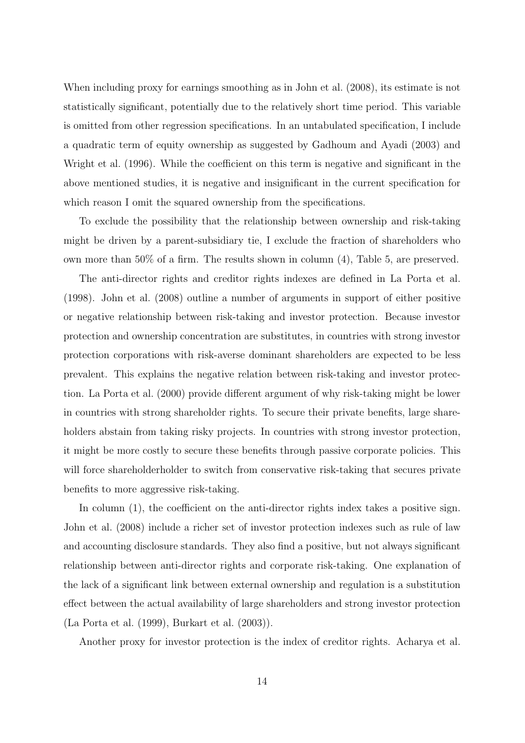When including proxy for earnings smoothing as in John et al. (2008), its estimate is not statistically significant, potentially due to the relatively short time period. This variable is omitted from other regression specifications. In an untabulated specification, I include a quadratic term of equity ownership as suggested by Gadhoum and Ayadi (2003) and Wright et al. (1996). While the coefficient on this term is negative and significant in the above mentioned studies, it is negative and insignificant in the current specification for which reason I omit the squared ownership from the specifications.

To exclude the possibility that the relationship between ownership and risk-taking might be driven by a parent-subsidiary tie, I exclude the fraction of shareholders who own more than 50% of a firm. The results shown in column (4), Table 5, are preserved.

The anti-director rights and creditor rights indexes are defined in La Porta et al. (1998). John et al. (2008) outline a number of arguments in support of either positive or negative relationship between risk-taking and investor protection. Because investor protection and ownership concentration are substitutes, in countries with strong investor protection corporations with risk-averse dominant shareholders are expected to be less prevalent. This explains the negative relation between risk-taking and investor protection. La Porta et al. (2000) provide different argument of why risk-taking might be lower in countries with strong shareholder rights. To secure their private benefits, large shareholders abstain from taking risky projects. In countries with strong investor protection, it might be more costly to secure these benefits through passive corporate policies. This will force shareholderholder to switch from conservative risk-taking that secures private benefits to more aggressive risk-taking.

In column  $(1)$ , the coefficient on the anti-director rights index takes a positive sign. John et al. (2008) include a richer set of investor protection indexes such as rule of law and accounting disclosure standards. They also find a positive, but not always significant relationship between anti-director rights and corporate risk-taking. One explanation of the lack of a significant link between external ownership and regulation is a substitution effect between the actual availability of large shareholders and strong investor protection (La Porta et al. (1999), Burkart et al. (2003)).

Another proxy for investor protection is the index of creditor rights. Acharya et al.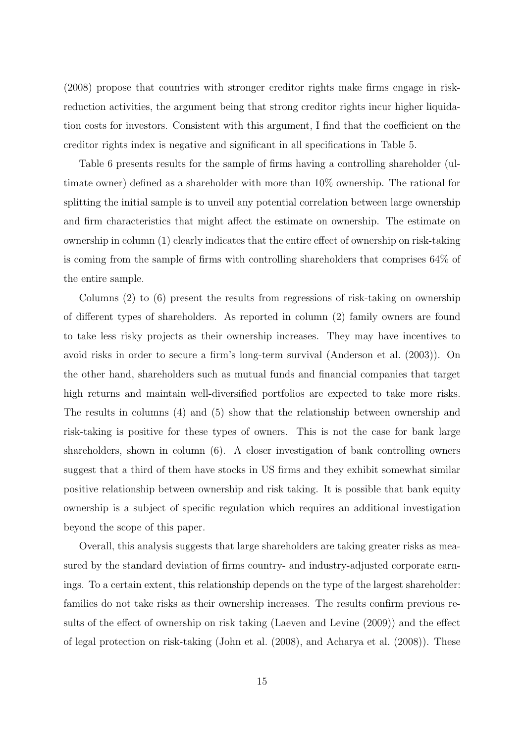(2008) propose that countries with stronger creditor rights make firms engage in riskreduction activities, the argument being that strong creditor rights incur higher liquidation costs for investors. Consistent with this argument, I find that the coefficient on the creditor rights index is negative and significant in all specifications in Table 5.

Table 6 presents results for the sample of firms having a controlling shareholder (ultimate owner) defined as a shareholder with more than 10% ownership. The rational for splitting the initial sample is to unveil any potential correlation between large ownership and firm characteristics that might affect the estimate on ownership. The estimate on ownership in column (1) clearly indicates that the entire effect of ownership on risk-taking is coming from the sample of firms with controlling shareholders that comprises 64% of the entire sample.

Columns (2) to (6) present the results from regressions of risk-taking on ownership of different types of shareholders. As reported in column (2) family owners are found to take less risky projects as their ownership increases. They may have incentives to avoid risks in order to secure a firm's long-term survival (Anderson et al. (2003)). On the other hand, shareholders such as mutual funds and financial companies that target high returns and maintain well-diversified portfolios are expected to take more risks. The results in columns (4) and (5) show that the relationship between ownership and risk-taking is positive for these types of owners. This is not the case for bank large shareholders, shown in column (6). A closer investigation of bank controlling owners suggest that a third of them have stocks in US firms and they exhibit somewhat similar positive relationship between ownership and risk taking. It is possible that bank equity ownership is a subject of specific regulation which requires an additional investigation beyond the scope of this paper.

Overall, this analysis suggests that large shareholders are taking greater risks as measured by the standard deviation of firms country- and industry-adjusted corporate earnings. To a certain extent, this relationship depends on the type of the largest shareholder: families do not take risks as their ownership increases. The results confirm previous results of the effect of ownership on risk taking (Laeven and Levine (2009)) and the effect of legal protection on risk-taking (John et al. (2008), and Acharya et al. (2008)). These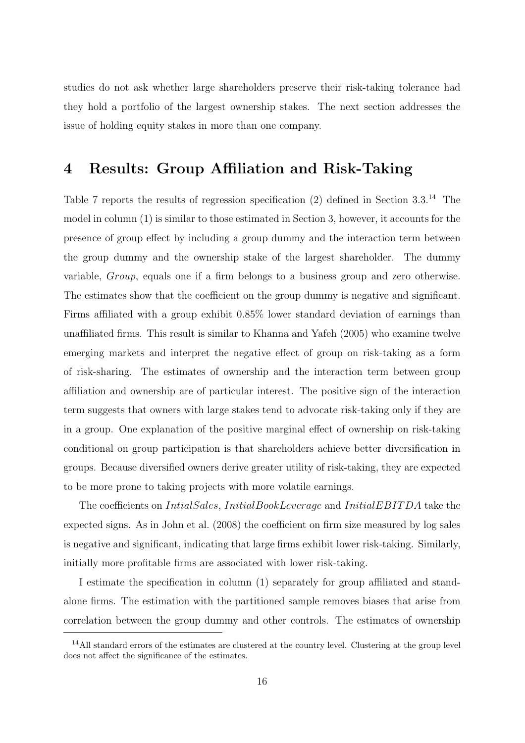studies do not ask whether large shareholders preserve their risk-taking tolerance had they hold a portfolio of the largest ownership stakes. The next section addresses the issue of holding equity stakes in more than one company.

# 4 Results: Group Affiliation and Risk-Taking

Table 7 reports the results of regression specification (2) defined in Section 3.3.<sup>14</sup> The model in column (1) is similar to those estimated in Section 3, however, it accounts for the presence of group effect by including a group dummy and the interaction term between the group dummy and the ownership stake of the largest shareholder. The dummy variable, Group, equals one if a firm belongs to a business group and zero otherwise. The estimates show that the coefficient on the group dummy is negative and significant. Firms affiliated with a group exhibit 0.85% lower standard deviation of earnings than unaffiliated firms. This result is similar to Khanna and Yafeh (2005) who examine twelve emerging markets and interpret the negative effect of group on risk-taking as a form of risk-sharing. The estimates of ownership and the interaction term between group affiliation and ownership are of particular interest. The positive sign of the interaction term suggests that owners with large stakes tend to advocate risk-taking only if they are in a group. One explanation of the positive marginal effect of ownership on risk-taking conditional on group participation is that shareholders achieve better diversification in groups. Because diversified owners derive greater utility of risk-taking, they are expected to be more prone to taking projects with more volatile earnings.

The coefficients on *IntialSales*, *InitialBookLeverage* and *InitialEBITDA* take the expected signs. As in John et al. (2008) the coefficient on firm size measured by log sales is negative and significant, indicating that large firms exhibit lower risk-taking. Similarly, initially more profitable firms are associated with lower risk-taking.

I estimate the specification in column (1) separately for group affiliated and standalone firms. The estimation with the partitioned sample removes biases that arise from correlation between the group dummy and other controls. The estimates of ownership

<sup>&</sup>lt;sup>14</sup>All standard errors of the estimates are clustered at the country level. Clustering at the group level does not affect the significance of the estimates.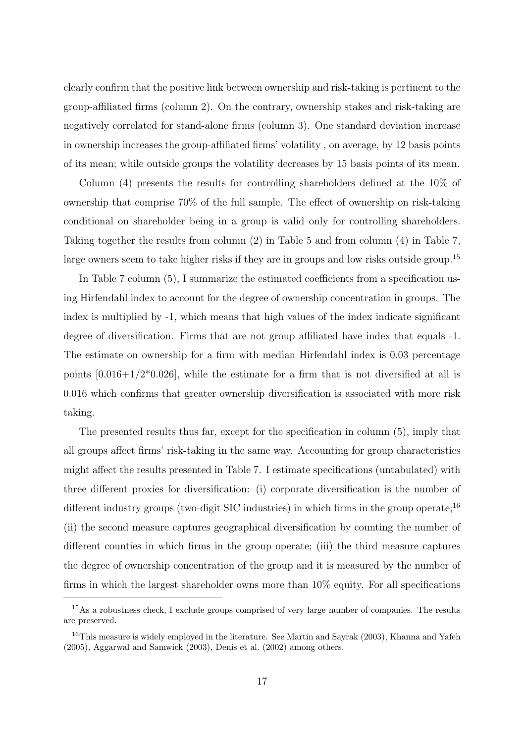clearly confirm that the positive link between ownership and risk-taking is pertinent to the group-affiliated firms (column 2). On the contrary, ownership stakes and risk-taking are negatively correlated for stand-alone firms (column 3). One standard deviation increase in ownership increases the group-affiliated firms' volatility , on average, by 12 basis points of its mean; while outside groups the volatility decreases by 15 basis points of its mean.

Column (4) presents the results for controlling shareholders defined at the 10% of ownership that comprise 70% of the full sample. The effect of ownership on risk-taking conditional on shareholder being in a group is valid only for controlling shareholders. Taking together the results from column (2) in Table 5 and from column (4) in Table 7, large owners seem to take higher risks if they are in groups and low risks outside group.<sup>15</sup>

In Table 7 column (5), I summarize the estimated coefficients from a specification using Hirfendahl index to account for the degree of ownership concentration in groups. The index is multiplied by -1, which means that high values of the index indicate significant degree of diversification. Firms that are not group affiliated have index that equals -1. The estimate on ownership for a firm with median Hirfendahl index is 0.03 percentage points  $[0.016+1/2*0.026]$ , while the estimate for a firm that is not diversified at all is 0.016 which confirms that greater ownership diversification is associated with more risk taking.

The presented results thus far, except for the specification in column (5), imply that all groups affect firms' risk-taking in the same way. Accounting for group characteristics might affect the results presented in Table 7. I estimate specifications (untabulated) with three different proxies for diversification: (i) corporate diversification is the number of different industry groups (two-digit SIC industries) in which firms in the group operate;<sup>16</sup> (ii) the second measure captures geographical diversification by counting the number of different counties in which firms in the group operate; (iii) the third measure captures the degree of ownership concentration of the group and it is measured by the number of firms in which the largest shareholder owns more than 10% equity. For all specifications

<sup>&</sup>lt;sup>15</sup>As a robustness check, I exclude groups comprised of very large number of companies. The results are preserved.

<sup>&</sup>lt;sup>16</sup>This measure is widely employed in the literature. See Martin and Sayrak (2003), Khanna and Yafeh (2005), Aggarwal and Samwick (2003), Denis et al. (2002) among others.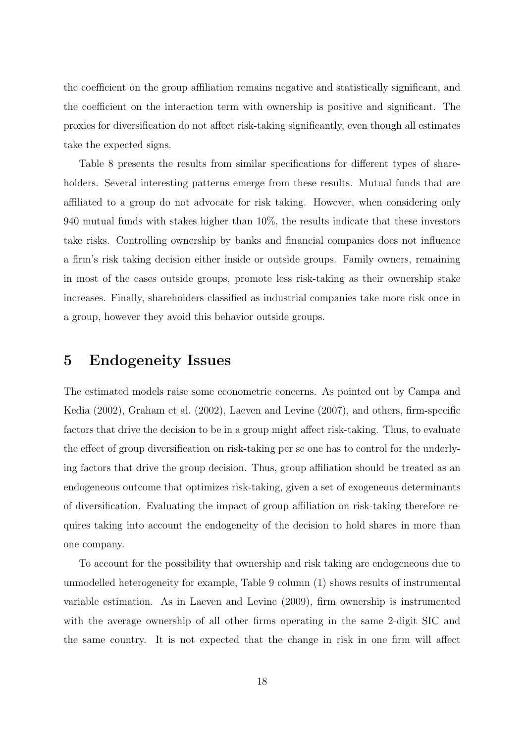the coefficient on the group affiliation remains negative and statistically significant, and the coefficient on the interaction term with ownership is positive and significant. The proxies for diversification do not affect risk-taking significantly, even though all estimates take the expected signs.

Table 8 presents the results from similar specifications for different types of shareholders. Several interesting patterns emerge from these results. Mutual funds that are affiliated to a group do not advocate for risk taking. However, when considering only 940 mutual funds with stakes higher than 10%, the results indicate that these investors take risks. Controlling ownership by banks and financial companies does not influence a firm's risk taking decision either inside or outside groups. Family owners, remaining in most of the cases outside groups, promote less risk-taking as their ownership stake increases. Finally, shareholders classified as industrial companies take more risk once in a group, however they avoid this behavior outside groups.

# 5 Endogeneity Issues

The estimated models raise some econometric concerns. As pointed out by Campa and Kedia (2002), Graham et al. (2002), Laeven and Levine (2007), and others, firm-specific factors that drive the decision to be in a group might affect risk-taking. Thus, to evaluate the effect of group diversification on risk-taking per se one has to control for the underlying factors that drive the group decision. Thus, group affiliation should be treated as an endogeneous outcome that optimizes risk-taking, given a set of exogeneous determinants of diversification. Evaluating the impact of group affiliation on risk-taking therefore requires taking into account the endogeneity of the decision to hold shares in more than one company.

To account for the possibility that ownership and risk taking are endogeneous due to unmodelled heterogeneity for example, Table 9 column (1) shows results of instrumental variable estimation. As in Laeven and Levine (2009), firm ownership is instrumented with the average ownership of all other firms operating in the same 2-digit SIC and the same country. It is not expected that the change in risk in one firm will affect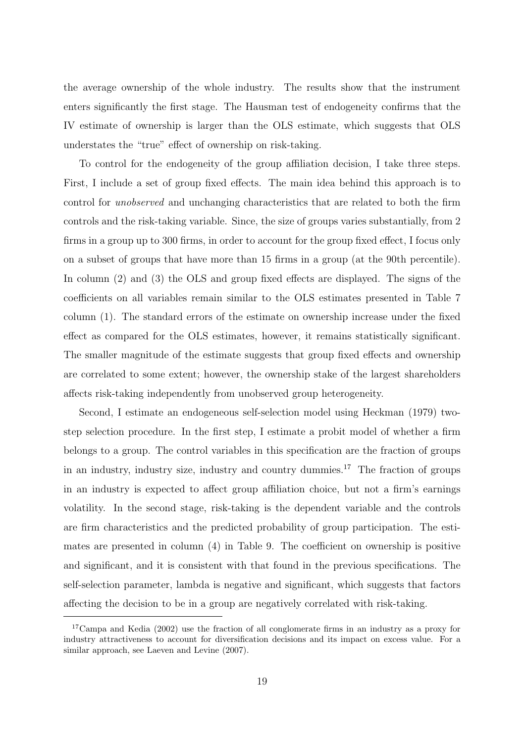the average ownership of the whole industry. The results show that the instrument enters significantly the first stage. The Hausman test of endogeneity confirms that the IV estimate of ownership is larger than the OLS estimate, which suggests that OLS understates the "true" effect of ownership on risk-taking.

To control for the endogeneity of the group affiliation decision, I take three steps. First, I include a set of group fixed effects. The main idea behind this approach is to control for unobserved and unchanging characteristics that are related to both the firm controls and the risk-taking variable. Since, the size of groups varies substantially, from 2 firms in a group up to 300 firms, in order to account for the group fixed effect, I focus only on a subset of groups that have more than 15 firms in a group (at the 90th percentile). In column (2) and (3) the OLS and group fixed effects are displayed. The signs of the coefficients on all variables remain similar to the OLS estimates presented in Table 7 column (1). The standard errors of the estimate on ownership increase under the fixed effect as compared for the OLS estimates, however, it remains statistically significant. The smaller magnitude of the estimate suggests that group fixed effects and ownership are correlated to some extent; however, the ownership stake of the largest shareholders affects risk-taking independently from unobserved group heterogeneity.

Second, I estimate an endogeneous self-selection model using Heckman (1979) twostep selection procedure. In the first step, I estimate a probit model of whether a firm belongs to a group. The control variables in this specification are the fraction of groups in an industry, industry size, industry and country dummies.<sup>17</sup> The fraction of groups in an industry is expected to affect group affiliation choice, but not a firm's earnings volatility. In the second stage, risk-taking is the dependent variable and the controls are firm characteristics and the predicted probability of group participation. The estimates are presented in column (4) in Table 9. The coefficient on ownership is positive and significant, and it is consistent with that found in the previous specifications. The self-selection parameter, lambda is negative and significant, which suggests that factors affecting the decision to be in a group are negatively correlated with risk-taking.

<sup>&</sup>lt;sup>17</sup>Campa and Kedia (2002) use the fraction of all conglomerate firms in an industry as a proxy for industry attractiveness to account for diversification decisions and its impact on excess value. For a similar approach, see Laeven and Levine (2007).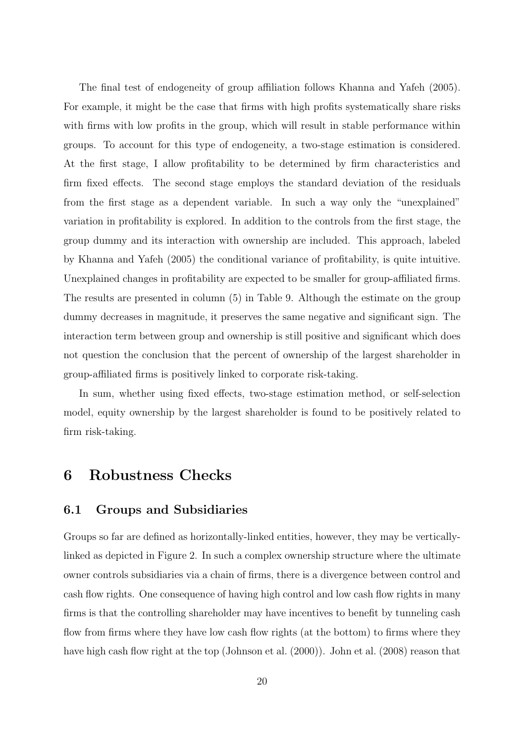The final test of endogeneity of group affiliation follows Khanna and Yafeh (2005). For example, it might be the case that firms with high profits systematically share risks with firms with low profits in the group, which will result in stable performance within groups. To account for this type of endogeneity, a two-stage estimation is considered. At the first stage, I allow profitability to be determined by firm characteristics and firm fixed effects. The second stage employs the standard deviation of the residuals from the first stage as a dependent variable. In such a way only the "unexplained" variation in profitability is explored. In addition to the controls from the first stage, the group dummy and its interaction with ownership are included. This approach, labeled by Khanna and Yafeh (2005) the conditional variance of profitability, is quite intuitive. Unexplained changes in profitability are expected to be smaller for group-affiliated firms. The results are presented in column (5) in Table 9. Although the estimate on the group dummy decreases in magnitude, it preserves the same negative and significant sign. The interaction term between group and ownership is still positive and significant which does not question the conclusion that the percent of ownership of the largest shareholder in group-affiliated firms is positively linked to corporate risk-taking.

In sum, whether using fixed effects, two-stage estimation method, or self-selection model, equity ownership by the largest shareholder is found to be positively related to firm risk-taking.

# 6 Robustness Checks

### 6.1 Groups and Subsidiaries

Groups so far are defined as horizontally-linked entities, however, they may be verticallylinked as depicted in Figure 2. In such a complex ownership structure where the ultimate owner controls subsidiaries via a chain of firms, there is a divergence between control and cash flow rights. One consequence of having high control and low cash flow rights in many firms is that the controlling shareholder may have incentives to benefit by tunneling cash flow from firms where they have low cash flow rights (at the bottom) to firms where they have high cash flow right at the top (Johnson et al. (2000)). John et al. (2008) reason that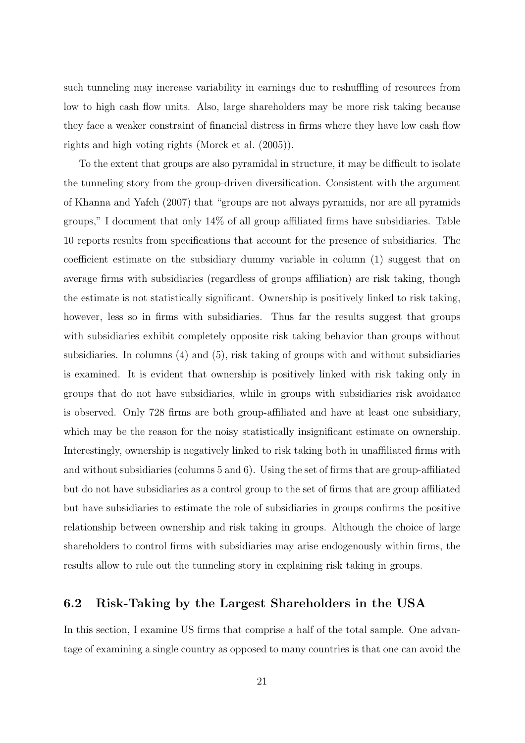such tunneling may increase variability in earnings due to reshuffling of resources from low to high cash flow units. Also, large shareholders may be more risk taking because they face a weaker constraint of financial distress in firms where they have low cash flow rights and high voting rights (Morck et al. (2005)).

To the extent that groups are also pyramidal in structure, it may be difficult to isolate the tunneling story from the group-driven diversification. Consistent with the argument of Khanna and Yafeh (2007) that "groups are not always pyramids, nor are all pyramids groups," I document that only 14% of all group affiliated firms have subsidiaries. Table 10 reports results from specifications that account for the presence of subsidiaries. The coefficient estimate on the subsidiary dummy variable in column (1) suggest that on average firms with subsidiaries (regardless of groups affiliation) are risk taking, though the estimate is not statistically significant. Ownership is positively linked to risk taking, however, less so in firms with subsidiaries. Thus far the results suggest that groups with subsidiaries exhibit completely opposite risk taking behavior than groups without subsidiaries. In columns (4) and (5), risk taking of groups with and without subsidiaries is examined. It is evident that ownership is positively linked with risk taking only in groups that do not have subsidiaries, while in groups with subsidiaries risk avoidance is observed. Only 728 firms are both group-affiliated and have at least one subsidiary, which may be the reason for the noisy statistically insignificant estimate on ownership. Interestingly, ownership is negatively linked to risk taking both in unaffiliated firms with and without subsidiaries (columns 5 and 6). Using the set of firms that are group-affiliated but do not have subsidiaries as a control group to the set of firms that are group affiliated but have subsidiaries to estimate the role of subsidiaries in groups confirms the positive relationship between ownership and risk taking in groups. Although the choice of large shareholders to control firms with subsidiaries may arise endogenously within firms, the results allow to rule out the tunneling story in explaining risk taking in groups.

### 6.2 Risk-Taking by the Largest Shareholders in the USA

In this section, I examine US firms that comprise a half of the total sample. One advantage of examining a single country as opposed to many countries is that one can avoid the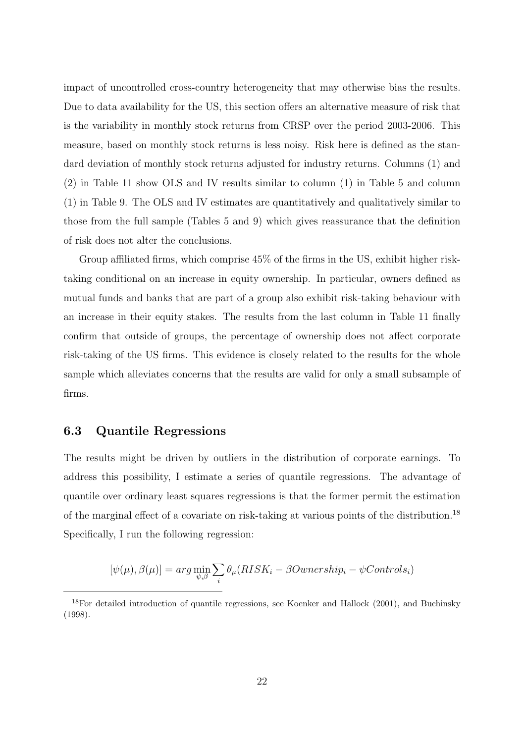impact of uncontrolled cross-country heterogeneity that may otherwise bias the results. Due to data availability for the US, this section offers an alternative measure of risk that is the variability in monthly stock returns from CRSP over the period 2003-2006. This measure, based on monthly stock returns is less noisy. Risk here is defined as the standard deviation of monthly stock returns adjusted for industry returns. Columns (1) and (2) in Table 11 show OLS and IV results similar to column (1) in Table 5 and column (1) in Table 9. The OLS and IV estimates are quantitatively and qualitatively similar to those from the full sample (Tables 5 and 9) which gives reassurance that the definition of risk does not alter the conclusions.

Group affiliated firms, which comprise 45% of the firms in the US, exhibit higher risktaking conditional on an increase in equity ownership. In particular, owners defined as mutual funds and banks that are part of a group also exhibit risk-taking behaviour with an increase in their equity stakes. The results from the last column in Table 11 finally confirm that outside of groups, the percentage of ownership does not affect corporate risk-taking of the US firms. This evidence is closely related to the results for the whole sample which alleviates concerns that the results are valid for only a small subsample of firms.

### 6.3 Quantile Regressions

The results might be driven by outliers in the distribution of corporate earnings. To address this possibility, I estimate a series of quantile regressions. The advantage of quantile over ordinary least squares regressions is that the former permit the estimation of the marginal effect of a covariate on risk-taking at various points of the distribution.<sup>18</sup> Specifically, I run the following regression:

$$
[\psi(\mu), \beta(\mu)] = arg \min_{\psi, \beta} \sum_{i} \theta_{\mu}(RISK_i - \betaOwnership_i - \psi Controls_i)
$$

<sup>18</sup>For detailed introduction of quantile regressions, see Koenker and Hallock (2001), and Buchinsky (1998).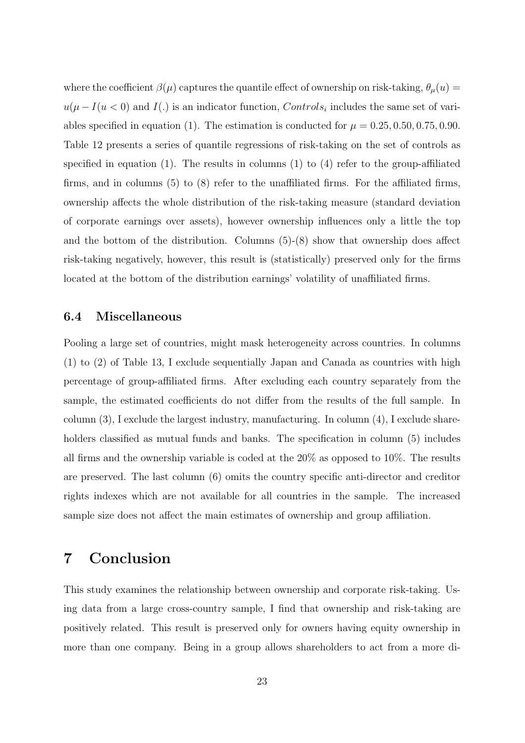where the coefficient  $\beta(\mu)$  captures the quantile effect of ownership on risk-taking,  $\theta_{\mu}(u)$  =  $u(\mu - I(u < 0))$  and  $I(.)$  is an indicator function,  $Controls_i$  includes the same set of variables specified in equation (1). The estimation is conducted for  $\mu = 0.25, 0.50, 0.75, 0.90$ . Table 12 presents a series of quantile regressions of risk-taking on the set of controls as specified in equation (1). The results in columns (1) to (4) refer to the group-affiliated firms, and in columns (5) to (8) refer to the unaffiliated firms. For the affiliated firms, ownership affects the whole distribution of the risk-taking measure (standard deviation of corporate earnings over assets), however ownership influences only a little the top and the bottom of the distribution. Columns (5)-(8) show that ownership does affect risk-taking negatively, however, this result is (statistically) preserved only for the firms located at the bottom of the distribution earnings' volatility of unaffiliated firms.

### 6.4 Miscellaneous

Pooling a large set of countries, might mask heterogeneity across countries. In columns (1) to (2) of Table 13, I exclude sequentially Japan and Canada as countries with high percentage of group-affiliated firms. After excluding each country separately from the sample, the estimated coefficients do not differ from the results of the full sample. In column  $(3)$ , I exclude the largest industry, manufacturing. In column  $(4)$ , I exclude shareholders classified as mutual funds and banks. The specification in column  $(5)$  includes all firms and the ownership variable is coded at the 20% as opposed to 10%. The results are preserved. The last column (6) omits the country specific anti-director and creditor rights indexes which are not available for all countries in the sample. The increased sample size does not affect the main estimates of ownership and group affiliation.

# 7 Conclusion

This study examines the relationship between ownership and corporate risk-taking. Using data from a large cross-country sample, I find that ownership and risk-taking are positively related. This result is preserved only for owners having equity ownership in more than one company. Being in a group allows shareholders to act from a more di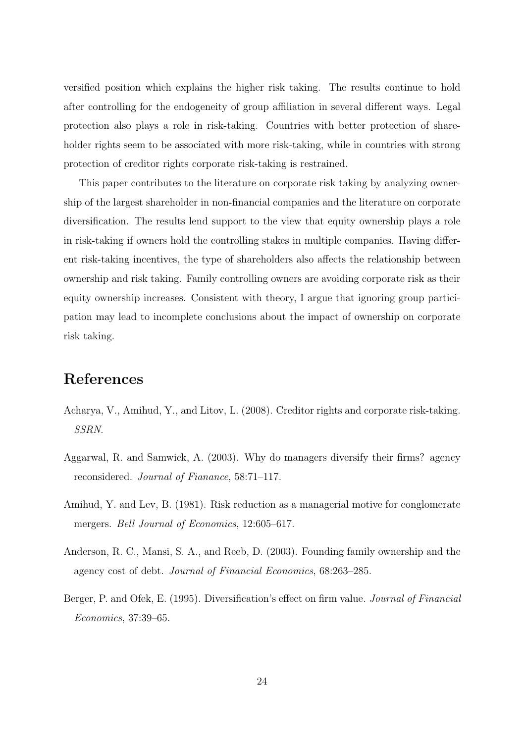versified position which explains the higher risk taking. The results continue to hold after controlling for the endogeneity of group affiliation in several different ways. Legal protection also plays a role in risk-taking. Countries with better protection of shareholder rights seem to be associated with more risk-taking, while in countries with strong protection of creditor rights corporate risk-taking is restrained.

This paper contributes to the literature on corporate risk taking by analyzing ownership of the largest shareholder in non-financial companies and the literature on corporate diversification. The results lend support to the view that equity ownership plays a role in risk-taking if owners hold the controlling stakes in multiple companies. Having different risk-taking incentives, the type of shareholders also affects the relationship between ownership and risk taking. Family controlling owners are avoiding corporate risk as their equity ownership increases. Consistent with theory, I argue that ignoring group participation may lead to incomplete conclusions about the impact of ownership on corporate risk taking.

# References

- Acharya, V., Amihud, Y., and Litov, L. (2008). Creditor rights and corporate risk-taking. SSRN.
- Aggarwal, R. and Samwick, A. (2003). Why do managers diversify their firms? agency reconsidered. Journal of Fianance, 58:71–117.
- Amihud, Y. and Lev, B. (1981). Risk reduction as a managerial motive for conglomerate mergers. *Bell Journal of Economics*, 12:605-617.
- Anderson, R. C., Mansi, S. A., and Reeb, D. (2003). Founding family ownership and the agency cost of debt. Journal of Financial Economics, 68:263–285.
- Berger, P. and Ofek, E. (1995). Diversification's effect on firm value. *Journal of Financial* Economics, 37:39–65.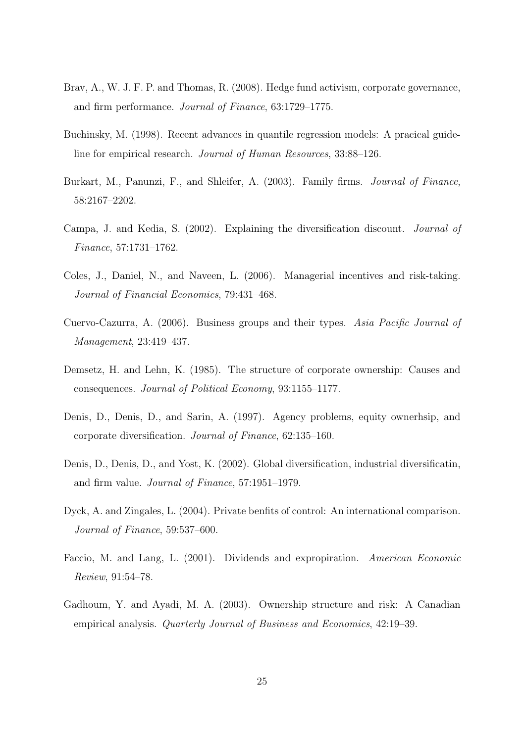- Brav, A., W. J. F. P. and Thomas, R. (2008). Hedge fund activism, corporate governance, and firm performance. Journal of Finance, 63:1729–1775.
- Buchinsky, M. (1998). Recent advances in quantile regression models: A pracical guideline for empirical research. Journal of Human Resources, 33:88–126.
- Burkart, M., Panunzi, F., and Shleifer, A. (2003). Family firms. Journal of Finance, 58:2167–2202.
- Campa, J. and Kedia, S. (2002). Explaining the diversification discount. Journal of Finance, 57:1731–1762.
- Coles, J., Daniel, N., and Naveen, L. (2006). Managerial incentives and risk-taking. Journal of Financial Economics, 79:431–468.
- Cuervo-Cazurra, A. (2006). Business groups and their types. Asia Pacific Journal of Management, 23:419–437.
- Demsetz, H. and Lehn, K. (1985). The structure of corporate ownership: Causes and consequences. Journal of Political Economy, 93:1155–1177.
- Denis, D., Denis, D., and Sarin, A. (1997). Agency problems, equity ownerhsip, and corporate diversification. Journal of Finance, 62:135–160.
- Denis, D., Denis, D., and Yost, K. (2002). Global diversification, industrial diversificatin, and firm value. Journal of Finance, 57:1951–1979.
- Dyck, A. and Zingales, L. (2004). Private benfits of control: An international comparison. Journal of Finance, 59:537–600.
- Faccio, M. and Lang, L. (2001). Dividends and expropiration. American Economic Review, 91:54–78.
- Gadhoum, Y. and Ayadi, M. A. (2003). Ownership structure and risk: A Canadian empirical analysis. Quarterly Journal of Business and Economics, 42:19–39.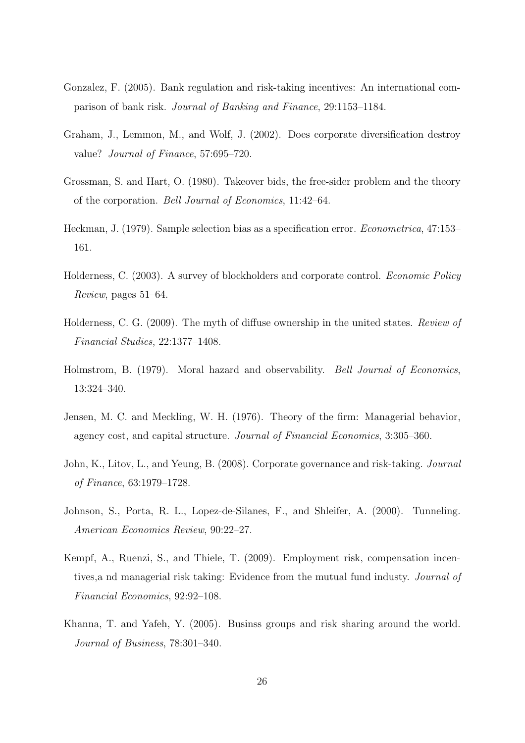- Gonzalez, F. (2005). Bank regulation and risk-taking incentives: An international comparison of bank risk. Journal of Banking and Finance, 29:1153–1184.
- Graham, J., Lemmon, M., and Wolf, J. (2002). Does corporate diversification destroy value? Journal of Finance, 57:695–720.
- Grossman, S. and Hart, O. (1980). Takeover bids, the free-sider problem and the theory of the corporation. Bell Journal of Economics, 11:42–64.
- Heckman, J. (1979). Sample selection bias as a specification error. Econometrica, 47:153– 161.
- Holderness, C. (2003). A survey of blockholders and corporate control. Economic Policy Review, pages 51–64.
- Holderness, C. G. (2009). The myth of diffuse ownership in the united states. Review of Financial Studies, 22:1377–1408.
- Holmstrom, B. (1979). Moral hazard and observability. Bell Journal of Economics, 13:324–340.
- Jensen, M. C. and Meckling, W. H. (1976). Theory of the firm: Managerial behavior, agency cost, and capital structure. Journal of Financial Economics, 3:305–360.
- John, K., Litov, L., and Yeung, B. (2008). Corporate governance and risk-taking. Journal of Finance, 63:1979–1728.
- Johnson, S., Porta, R. L., Lopez-de-Silanes, F., and Shleifer, A. (2000). Tunneling. American Economics Review, 90:22–27.
- Kempf, A., Ruenzi, S., and Thiele, T. (2009). Employment risk, compensation incentives,a nd managerial risk taking: Evidence from the mutual fund industy. Journal of Financial Economics, 92:92–108.
- Khanna, T. and Yafeh, Y. (2005). Businss groups and risk sharing around the world. Journal of Business, 78:301–340.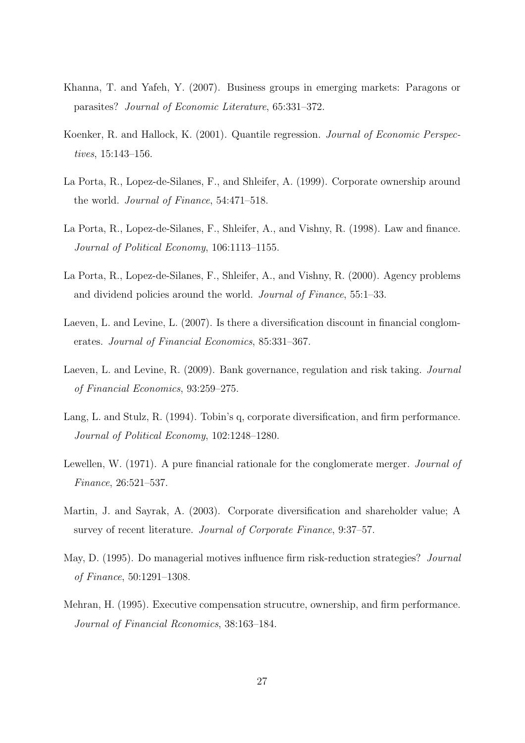- Khanna, T. and Yafeh, Y. (2007). Business groups in emerging markets: Paragons or parasites? Journal of Economic Literature, 65:331–372.
- Koenker, R. and Hallock, K. (2001). Quantile regression. Journal of Economic Perspectives, 15:143–156.
- La Porta, R., Lopez-de-Silanes, F., and Shleifer, A. (1999). Corporate ownership around the world. Journal of Finance, 54:471–518.
- La Porta, R., Lopez-de-Silanes, F., Shleifer, A., and Vishny, R. (1998). Law and finance. Journal of Political Economy, 106:1113–1155.
- La Porta, R., Lopez-de-Silanes, F., Shleifer, A., and Vishny, R. (2000). Agency problems and dividend policies around the world. Journal of Finance, 55:1–33.
- Laeven, L. and Levine, L. (2007). Is there a diversification discount in financial conglomerates. Journal of Financial Economics, 85:331–367.
- Laeven, L. and Levine, R. (2009). Bank governance, regulation and risk taking. *Journal* of Financial Economics, 93:259–275.
- Lang, L. and Stulz, R. (1994). Tobin's q, corporate diversification, and firm performance. Journal of Political Economy, 102:1248–1280.
- Lewellen, W. (1971). A pure financial rationale for the conglomerate merger. *Journal of* Finance, 26:521–537.
- Martin, J. and Sayrak, A. (2003). Corporate diversification and shareholder value; A survey of recent literature. Journal of Corporate Finance, 9:37–57.
- May, D. (1995). Do managerial motives influence firm risk-reduction strategies? *Journal* of Finance, 50:1291–1308.
- Mehran, H. (1995). Executive compensation strucutre, ownership, and firm performance. Journal of Financial Rconomics, 38:163–184.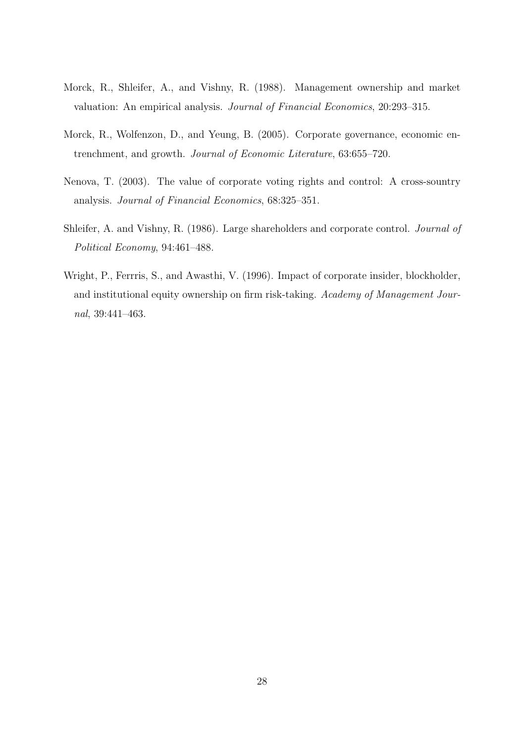- Morck, R., Shleifer, A., and Vishny, R. (1988). Management ownership and market valuation: An empirical analysis. Journal of Financial Economics, 20:293–315.
- Morck, R., Wolfenzon, D., and Yeung, B. (2005). Corporate governance, economic entrenchment, and growth. Journal of Economic Literature, 63:655–720.
- Nenova, T. (2003). The value of corporate voting rights and control: A cross-sountry analysis. Journal of Financial Economics, 68:325–351.
- Shleifer, A. and Vishny, R. (1986). Large shareholders and corporate control. Journal of Political Economy, 94:461–488.
- Wright, P., Ferrris, S., and Awasthi, V. (1996). Impact of corporate insider, blockholder, and institutional equity ownership on firm risk-taking. Academy of Management Journal, 39:441–463.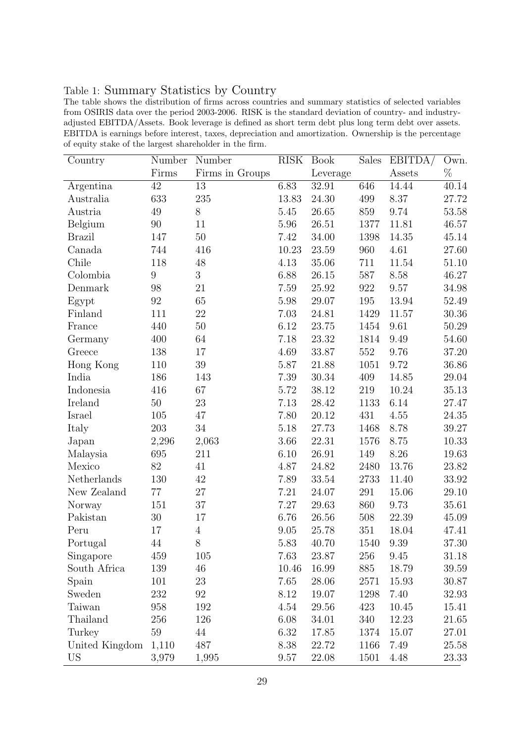### Table 1: Summary Statistics by Country

The table shows the distribution of firms across countries and summary statistics of selected variables from OSIRIS data over the period 2003-2006. RISK is the standard deviation of country- and industryadjusted EBITDA/Assets. Book leverage is defined as short term debt plus long term debt over assets. EBITDA is earnings before interest, taxes, depreciation and amortization. Ownership is the percentage of equity stake of the largest shareholder in the firm.

| Country        | Number           | Number          | <b>RISK</b> | <b>Book</b> | Sales | EBITDA/ | Own.      |
|----------------|------------------|-----------------|-------------|-------------|-------|---------|-----------|
|                | Firms            | Firms in Groups |             | Leverage    |       | Assets  | $\%$      |
| Argentina      | 42               | 13              | 6.83        | 32.91       | 646   | 14.44   | 40.14     |
| Australia      | 633              | 235             | 13.83       | 24.30       | 499   | 8.37    | 27.72     |
| Austria        | 49               | 8               | 5.45        | 26.65       | 859   | 9.74    | 53.58     |
| Belgium        | $90\,$           | 11              | 5.96        | 26.51       | 1377  | 11.81   | 46.57     |
| <b>Brazil</b>  | 147              | 50              | 7.42        | 34.00       | 1398  | 14.35   | 45.14     |
| Canada         | 744              | 416             | 10.23       | 23.59       | 960   | 4.61    | 27.60     |
| Chile          | 118              | 48              | 4.13        | 35.06       | 711   | 11.54   | 51.10     |
| Colombia       | $\boldsymbol{9}$ | 3               | 6.88        | 26.15       | 587   | 8.58    | 46.27     |
| Denmark        | 98               | 21              | 7.59        | 25.92       | 922   | 9.57    | 34.98     |
| Egypt          | 92               | 65              | 5.98        | 29.07       | 195   | 13.94   | 52.49     |
| Finland        | 111              | 22              | 7.03        | 24.81       | 1429  | 11.57   | $30.36\,$ |
| France         | 440              | 50              | 6.12        | 23.75       | 1454  | 9.61    | 50.29     |
| Germany        | 400              | 64              | 7.18        | 23.32       | 1814  | 9.49    | 54.60     |
| Greece         | 138              | 17              | 4.69        | 33.87       | 552   | 9.76    | 37.20     |
| Hong Kong      | 110              | 39              | 5.87        | 21.88       | 1051  | 9.72    | 36.86     |
| India          | 186              | 143             | 7.39        | 30.34       | 409   | 14.85   | 29.04     |
| Indonesia      | 416              | 67              | 5.72        | 38.12       | 219   | 10.24   | 35.13     |
| Ireland        | $50\,$           | 23              | 7.13        | 28.42       | 1133  | 6.14    | 27.47     |
| Israel         | 105              | 47              | 7.80        | 20.12       | 431   | 4.55    | 24.35     |
| Italy          | 203              | 34              | 5.18        | 27.73       | 1468  | 8.78    | 39.27     |
| Japan          | 2,296            | 2,063           | 3.66        | 22.31       | 1576  | 8.75    | 10.33     |
| Malaysia       | 695              | 211             | 6.10        | 26.91       | 149   | 8.26    | 19.63     |
| Mexico         | $82\,$           | 41              | 4.87        | 24.82       | 2480  | 13.76   | 23.82     |
| Netherlands    | 130              | 42              | 7.89        | 33.54       | 2733  | 11.40   | $33.92\,$ |
| New Zealand    | 77               | 27              | 7.21        | 24.07       | 291   | 15.06   | 29.10     |
| Norway         | 151              | 37              | 7.27        | 29.63       | 860   | 9.73    | 35.61     |
| Pakistan       | $30\,$           | 17              | 6.76        | 26.56       | 508   | 22.39   | 45.09     |
| Peru           | 17               | $\overline{4}$  | 9.05        | 25.78       | 351   | 18.04   | 47.41     |
| Portugal       | 44               | 8               | 5.83        | 40.70       | 1540  | 9.39    | $37.30\,$ |
| Singapore      | 459              | 105             | 7.63        | 23.87       | 256   | 9.45    | 31.18     |
| South Africa   | 139              | $46\,$          | 10.46       | 16.99       | 885   | 18.79   | 39.59     |
| Spain          | 101              | 23              | 7.65        | 28.06       | 2571  | 15.93   | 30.87     |
| Sweden         | 232              | 92              | 8.12        | 19.07       | 1298  | 7.40    | 32.93     |
| Taiwan         | 958              | 192             | 4.54        | 29.56       | 423   | 10.45   | 15.41     |
| Thailand       | 256              | 126             | 6.08        | 34.01       | 340   | 12.23   | 21.65     |
| Turkey         | 59               | 44              | 6.32        | 17.85       | 1374  | 15.07   | 27.01     |
| United Kingdom | 1,110            | 487             | 8.38        | 22.72       | 1166  | 7.49    | 25.58     |
| <b>US</b>      | 3,979            | 1,995           | $\,9.57$    | 22.08       | 1501  | 4.48    | 23.33     |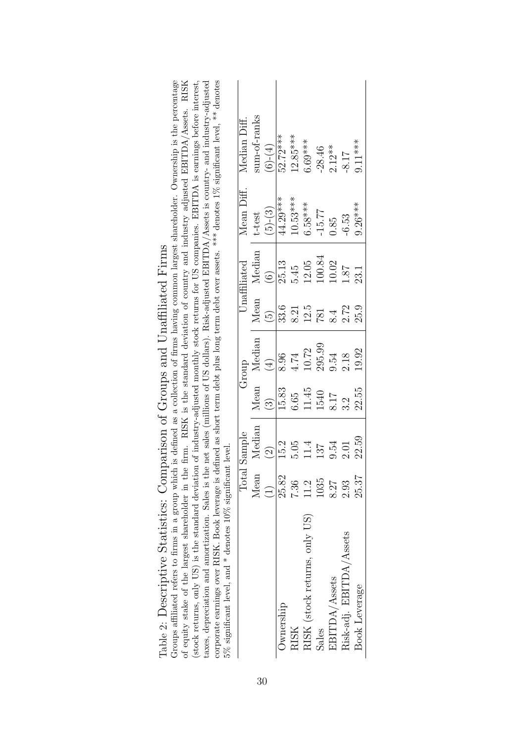| (stock returns, only US) is the standard deviation of industry-adjusted monthly stock returns for US companies. EBITDA is earnings before interest,<br>corporate earnings over RISK. Book leverage is defined as short term debt plus long term debt over assets. *** denotes 1% significant level, ** denotes<br>$5\%$ significant level, and $*$ denotes 10% significant level.<br>taxes, depreciation and amortization. Sales is t<br>of equity stake of the largest shareholder in t |             | Total Sample       |                        | Group       |                 | Unaffiliated      | Mean Diff. | the firm. RISK is the standard deviation of country and industry adjusted EBITDA/Assets. RISK<br>the net sales (millions of US dollars). Risk-adjusted EBITDA/Assets is country- and industry-adjusted<br>Median Diff. |
|------------------------------------------------------------------------------------------------------------------------------------------------------------------------------------------------------------------------------------------------------------------------------------------------------------------------------------------------------------------------------------------------------------------------------------------------------------------------------------------|-------------|--------------------|------------------------|-------------|-----------------|-------------------|------------|------------------------------------------------------------------------------------------------------------------------------------------------------------------------------------------------------------------------|
|                                                                                                                                                                                                                                                                                                                                                                                                                                                                                          | Mean        | Median             |                        | Mean Median | Mean            | Median            | t-test     | sum-of-ranks                                                                                                                                                                                                           |
|                                                                                                                                                                                                                                                                                                                                                                                                                                                                                          | $\bigoplus$ | $\widehat{\Omega}$ | $\widehat{\mathbb{C}}$ | $\bigoplus$ | $\widetilde{5}$ | $\widehat{\odot}$ | $(5)-(3)$  | $(6)-(4)$                                                                                                                                                                                                              |
| Ownership                                                                                                                                                                                                                                                                                                                                                                                                                                                                                | 25.82       | 15.2               | 15.83                  | 8.96        | 33.6            | 25.13             | 44.29***   | 52.72***                                                                                                                                                                                                               |
| <b>RISK</b>                                                                                                                                                                                                                                                                                                                                                                                                                                                                              | 7.36        | 5.05               | 6.65                   | 4.74        | 8.21            | 5.45              | $10.53***$ | $12.85***$                                                                                                                                                                                                             |
| RISK (stock returns, only US)                                                                                                                                                                                                                                                                                                                                                                                                                                                            | 11.2        | 11.4               | 11.45                  | 10.72       | 12.5            | 12.05             | $6.58***$  | $6.69***$                                                                                                                                                                                                              |
| Sales                                                                                                                                                                                                                                                                                                                                                                                                                                                                                    | 1035        | 137                | 1540                   | 295.99      | <b>I81</b>      | 100.84            | $-15.77$   | $-28.46$                                                                                                                                                                                                               |
| EBITDA/Assets                                                                                                                                                                                                                                                                                                                                                                                                                                                                            | 8.27        | 9.54               | 8.17                   | 9.54        | 8.4             | 10.02             | 0.85       | $2.12**$                                                                                                                                                                                                               |
| Risk-adj. EBITDA/Assets                                                                                                                                                                                                                                                                                                                                                                                                                                                                  | 2.93        | 2.01               | 3.2                    | 2.18        | 2.72            | 18.1              | $-6.53$    | $-8.17$                                                                                                                                                                                                                |
| Book Leverage                                                                                                                                                                                                                                                                                                                                                                                                                                                                            | 25.37       | 22.59              | 22.55                  | 19.92       | 25.9            | 23.1              | $9.26***$  | $9.11***$                                                                                                                                                                                                              |

Groups affiliated refers to firms in a group which is defined as a collection of firms having common largest shareholder. Ownership is the percentage of equity stake of the largest shareholder stake of the largest sharehol Table 2: Descriptive Statistics: Comparison of Groups and Unaffiliated Firms Table 2: Descriptive Statistics: Comparison of Groups and Unaffiliated Firms

Groups affiliated refers to firms in a group which is defined as a collection of firms having common largest shareholder. Ownership is the percentage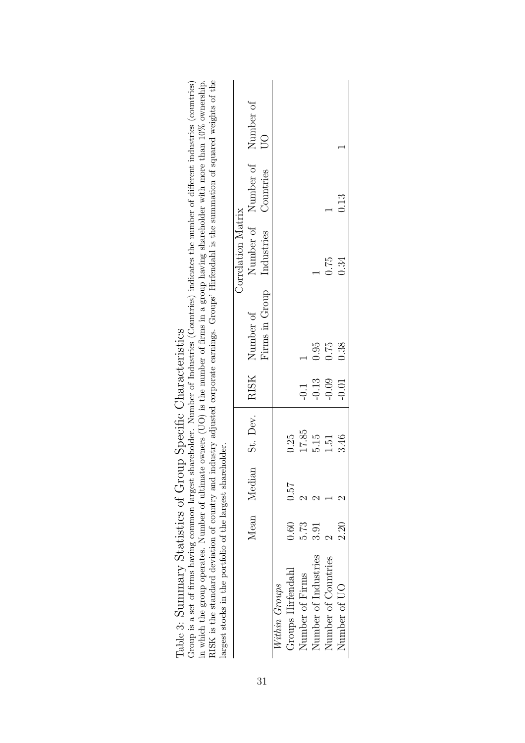| RISK is the standard deviation of country and industry adjusted corporate earnings. Groups' Hirfendahl is the summation of squared weights of the<br>Group is a set of firms having common largest shareholder. Number of Industries (Countries) indicates the number of different industries (countries)<br>in which the group operates. Number of ultimate owners (UO) is the number of firms in a group having shareholder with more than 10% ownership.<br>Table 3: Summary Statistics of Group Specific Characteristics<br>largest stocks in the portfolio of the largest shareholder. |      |             |          |         |                |                    |                               |                         |
|---------------------------------------------------------------------------------------------------------------------------------------------------------------------------------------------------------------------------------------------------------------------------------------------------------------------------------------------------------------------------------------------------------------------------------------------------------------------------------------------------------------------------------------------------------------------------------------------|------|-------------|----------|---------|----------------|--------------------|-------------------------------|-------------------------|
|                                                                                                                                                                                                                                                                                                                                                                                                                                                                                                                                                                                             |      |             |          |         |                | Correlation Matrix |                               |                         |
|                                                                                                                                                                                                                                                                                                                                                                                                                                                                                                                                                                                             |      | Mean Median | St. Dev. | RISK    | Number of      |                    | Number of Number of Number of |                         |
|                                                                                                                                                                                                                                                                                                                                                                                                                                                                                                                                                                                             |      |             |          |         | Firms in Group | Industries         | Countries                     | $\overline{\mathrm{O}}$ |
| Within Groups                                                                                                                                                                                                                                                                                                                                                                                                                                                                                                                                                                               |      |             |          |         |                |                    |                               |                         |
| Groups Hirfendahl                                                                                                                                                                                                                                                                                                                                                                                                                                                                                                                                                                           | 0.60 | 0.57        | 0.25     |         |                |                    |                               |                         |
| Number of Firms                                                                                                                                                                                                                                                                                                                                                                                                                                                                                                                                                                             | 5.73 |             | 17.85    | $-0.1$  |                |                    |                               |                         |
| Number of Industries                                                                                                                                                                                                                                                                                                                                                                                                                                                                                                                                                                        | 3.91 |             | 5.15     | $-0.13$ | 0.95           |                    |                               |                         |
| Number of Countries                                                                                                                                                                                                                                                                                                                                                                                                                                                                                                                                                                         |      |             | 1.51     | $-0.09$ | 0.75           | 0.75               |                               |                         |
| Number of UO                                                                                                                                                                                                                                                                                                                                                                                                                                                                                                                                                                                | 2.30 |             | 3.46     | $-0.01$ | 0.38           | 0.34               | 0.13                          |                         |
|                                                                                                                                                                                                                                                                                                                                                                                                                                                                                                                                                                                             |      |             |          |         |                |                    |                               |                         |

| Table 3: Summary Statistics of Group Specific Characteristics |  |
|---------------------------------------------------------------|--|
|                                                               |  |
|                                                               |  |
|                                                               |  |
|                                                               |  |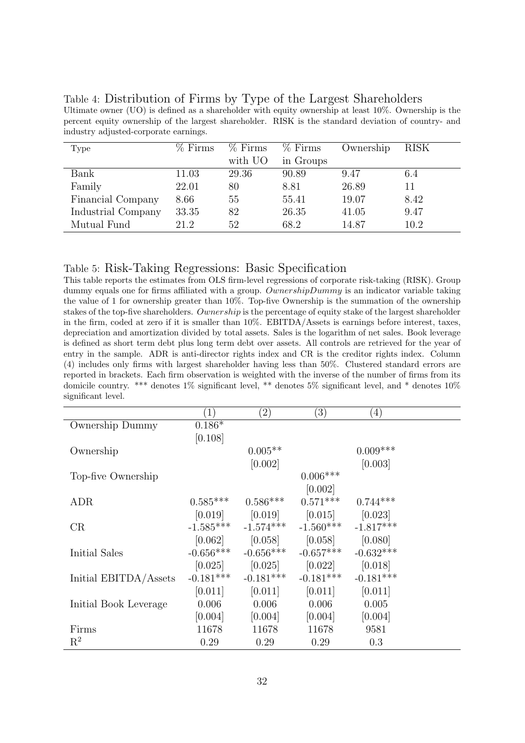| Type               | $%$ Firms | $%$ Firms | $%$ Firms | Ownership | <b>RISK</b> |
|--------------------|-----------|-----------|-----------|-----------|-------------|
|                    |           | with UO   | in Groups |           |             |
| Bank               | 11.03     | 29.36     | 90.89     | 9.47      | 6.4         |
| Family             | 22.01     | 80        | 8.81      | 26.89     | 11          |
| Financial Company  | 8.66      | 55        | 55.41     | 19.07     | 8.42        |
| Industrial Company | 33.35     | 82        | 26.35     | 41.05     | 9.47        |
| Mutual Fund        | 21.2      | 52        | 68.2      | 14.87     | 10.2        |

Table 4: Distribution of Firms by Type of the Largest Shareholders Ultimate owner (UO) is defined as a shareholder with equity ownership at least 10%. Ownership is the percent equity ownership of the largest shareholder. RISK is the standard deviation of country- and

### Table 5: Risk-Taking Regressions: Basic Specification

industry adjusted-corporate earnings.

This table reports the estimates from OLS firm-level regressions of corporate risk-taking (RISK). Group dummy equals one for firms affiliated with a group. OwnershipDummy is an indicator variable taking the value of 1 for ownership greater than 10%. Top-five Ownership is the summation of the ownership stakes of the top-five shareholders. Ownership is the percentage of equity stake of the largest shareholder in the firm, coded at zero if it is smaller than 10%. EBITDA/Assets is earnings before interest, taxes, depreciation and amortization divided by total assets. Sales is the logarithm of net sales. Book leverage is defined as short term debt plus long term debt over assets. All controls are retrieved for the year of entry in the sample. ADR is anti-director rights index and CR is the creditor rights index. Column (4) includes only firms with largest shareholder having less than 50%. Clustered standard errors are reported in brackets. Each firm observation is weighted with the inverse of the number of firms from its domicile country. \*\*\* denotes 1% significant level, \*\* denotes 5% significant level, and \* denotes 10% significant level.

|                       | $\left( 1\right)$ | $\left( 2\right)$       | $\left(3\right)$                                | (4)         |  |
|-----------------------|-------------------|-------------------------|-------------------------------------------------|-------------|--|
| Ownership Dummy       | $0.186*$          |                         |                                                 |             |  |
|                       | [0.108]           |                         |                                                 |             |  |
| Ownership             |                   | $0.005**$               |                                                 | $0.009***$  |  |
|                       |                   | [0.002]                 |                                                 | [0.003]     |  |
| Top-five Ownership    |                   |                         | $0.006***$                                      |             |  |
|                       |                   |                         | [0.002]                                         |             |  |
| ADR                   |                   |                         | $0.585***$ $0.586***$ $0.571***$ $0.744***$     |             |  |
|                       |                   |                         | $[0.019]$ $[0.019]$ $[0.015]$ $[0.023]$         |             |  |
| CR                    |                   |                         | $-1.585***$ $-1.574***$ $-1.560***$ $-1.817***$ |             |  |
|                       |                   |                         | $[0.062]$ $[0.058]$ $[0.058]$ $[0.080]$         |             |  |
| Initial Sales         |                   | $-0.656***$ $-0.656***$ | $-0.657***$                                     | $-0.632***$ |  |
|                       |                   |                         | $[0.025]$ $[0.025]$ $[0.022]$ $[0.018]$         |             |  |
| Initial EBITDA/Assets | $-0.181***$       | $-0.181***$             | $-0.181***$                                     | $-0.181***$ |  |
|                       |                   |                         | $[0.011]$ $[0.011]$ $[0.011]$                   | [0.011]     |  |
| Initial Book Leverage | 0.006             | 0.006                   | 0.006                                           | 0.005       |  |
|                       | [0.004]           | [0.004]                 | [0.004]                                         | [0.004]     |  |
| Firms                 | 11678             | 11678                   | 11678                                           | 9581        |  |
| $R^2$                 | 0.29              | 0.29                    | 0.29                                            | 0.3         |  |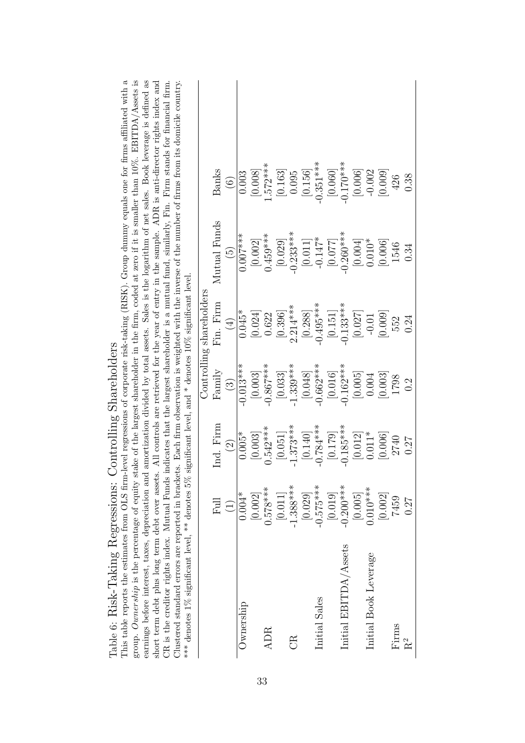| group. Ownership is the percentage of equity st<br>earnings before interest, taxes, depreciation and<br>short term debt plus long term debt over assets.<br>Clustered standard errors are reported in bracket<br>*** denotes 1% significant level, ** denotes $5\%$ |                                   |                       |                      | significant level, and * denotes 10% significant level. |                      | ake of the largest shareholder in the firm, coded at zero if it is smaller than $10\%$ . EBITDA/Assets is<br>This table reports the estimates from OLS firm-level regressions of corporate risk-taking (RISK). Group dummy equals one for firms affiliated with a<br>amortization divided by total assets. Sales is the logarithm of net sales. Book leverage is defined as<br>All controls are retrieved for the year of entry in the sample. ADR is anti-director rights index and<br>s. Each firm observation is weighted with the inverse of the number of firms from its domicile country.<br>CR is the creditor rights index. Mutual Funds indicates that the largest shareholder is a mutual fund, similarly, Fin. Firm stands for financial firm. |
|---------------------------------------------------------------------------------------------------------------------------------------------------------------------------------------------------------------------------------------------------------------------|-----------------------------------|-----------------------|----------------------|---------------------------------------------------------|----------------------|-----------------------------------------------------------------------------------------------------------------------------------------------------------------------------------------------------------------------------------------------------------------------------------------------------------------------------------------------------------------------------------------------------------------------------------------------------------------------------------------------------------------------------------------------------------------------------------------------------------------------------------------------------------------------------------------------------------------------------------------------------------|
|                                                                                                                                                                                                                                                                     |                                   |                       |                      | Controlling shareholders                                |                      |                                                                                                                                                                                                                                                                                                                                                                                                                                                                                                                                                                                                                                                                                                                                                           |
|                                                                                                                                                                                                                                                                     | Full                              | Ind. Firm             | $\rm Fannily$        | Fin. Firm                                               | Mutual Funds         | Banks                                                                                                                                                                                                                                                                                                                                                                                                                                                                                                                                                                                                                                                                                                                                                     |
|                                                                                                                                                                                                                                                                     | $\begin{pmatrix} 1 \end{pmatrix}$ | $\bigcirc$            | $\odot$              | $\tag{4}$                                               | $\widetilde{5}$      | $\odot$                                                                                                                                                                                                                                                                                                                                                                                                                                                                                                                                                                                                                                                                                                                                                   |
| Ownership                                                                                                                                                                                                                                                           | $0.004*$                          | $0.005*$              | $-0.013***$          | $0.045*$                                                | $0.007***$           | 0.003                                                                                                                                                                                                                                                                                                                                                                                                                                                                                                                                                                                                                                                                                                                                                     |
|                                                                                                                                                                                                                                                                     | [0.002]                           | [0.003]               | $\left[0.003\right]$ | [0.024]                                                 | $\left[0.002\right]$ | [0.008]                                                                                                                                                                                                                                                                                                                                                                                                                                                                                                                                                                                                                                                                                                                                                   |
| ADR                                                                                                                                                                                                                                                                 | $0.578***$                        | $0.542***$            | $-0.867***$          | 0.622                                                   | $0.459***$           | $.572***$                                                                                                                                                                                                                                                                                                                                                                                                                                                                                                                                                                                                                                                                                                                                                 |
|                                                                                                                                                                                                                                                                     | [0.011]                           | [0.051]               | $\left[0.033\right]$ | [0.396]                                                 | [0.029]              | [0.163]                                                                                                                                                                                                                                                                                                                                                                                                                                                                                                                                                                                                                                                                                                                                                   |
| ER                                                                                                                                                                                                                                                                  | $-1.388***$                       | $1.373***$            | $-1.339***$          | $2.214***$                                              | $-0.233***$          | 0.095                                                                                                                                                                                                                                                                                                                                                                                                                                                                                                                                                                                                                                                                                                                                                     |
|                                                                                                                                                                                                                                                                     | $\left[0.029\right]$              | $\left[ 0.140\right]$ | $\left[0.048\right]$ | [0.288]                                                 | $[0.011]$ $-0.147*$  | $[0.156] \centering% \includegraphics[width=1.8\columnwidth]{figures/fig_0_2.pdf} \includegraphics[width=1.8\columnwidth]{figures/fig_0_2.pdf} \includegraphics[width=1.8\columnwidth]{figures/fig_0_2.pdf} \includegraphics[width=1.8\columnwidth]{figures/fig_0_2.pdf} \includegraphics[width=1.8\columnwidth]{figures/fig_0_2.pdf} \includegraphics[width=1.8\columnwidth]{figures/fig_0_2.pdf} \includegraphics[width=1.8\columnwidth]{figures/fig_0_2.pdf} \includegraphics[width=1.8\columnwidth]{figures/fig_0_2.pdf} \includegraphics[width=1.8\columnwidth]{figures/fig_0_2.pdf} \includegraphics[width=1.8\column$                                                                                                                              |
| Initial Sales                                                                                                                                                                                                                                                       | $-0.575***$                       | $-0.784***$           | $-0.662***$          | $-0.495***$                                             |                      | $-0.351***$                                                                                                                                                                                                                                                                                                                                                                                                                                                                                                                                                                                                                                                                                                                                               |
|                                                                                                                                                                                                                                                                     | [0.019]                           | [0.179]               | [0.016]              | $[0.151]$                                               | [770.0]              | [0.060]                                                                                                                                                                                                                                                                                                                                                                                                                                                                                                                                                                                                                                                                                                                                                   |
| Initial EBITDA/Assets                                                                                                                                                                                                                                               | $-0.200***$                       | $-0.185***$           | $-0.162***$          | $-0.133***$                                             | $-0.260***$          | $0.170***$                                                                                                                                                                                                                                                                                                                                                                                                                                                                                                                                                                                                                                                                                                                                                |
|                                                                                                                                                                                                                                                                     | [0.005]                           | [0.012]               | [0.005]              | [0.027]                                                 | [0.004]              | [0.006]                                                                                                                                                                                                                                                                                                                                                                                                                                                                                                                                                                                                                                                                                                                                                   |
| Initial Book Leverage                                                                                                                                                                                                                                               | $0.010***$                        | $0.011*$              | 0.004                | $-0.01$                                                 | $0.010*$             | $-0.002$                                                                                                                                                                                                                                                                                                                                                                                                                                                                                                                                                                                                                                                                                                                                                  |
|                                                                                                                                                                                                                                                                     | [0.002]                           | [0.006]               | [0.003]              | [0.009]                                                 | [0.006]              | [0.009]                                                                                                                                                                                                                                                                                                                                                                                                                                                                                                                                                                                                                                                                                                                                                   |
| Firms                                                                                                                                                                                                                                                               | 7459                              | 2740                  | 1798                 | 552                                                     | 1546                 | 426                                                                                                                                                                                                                                                                                                                                                                                                                                                                                                                                                                                                                                                                                                                                                       |
| $R^2$                                                                                                                                                                                                                                                               | 0.27                              | <b>170</b>            | 0.2                  | 0.24                                                    | 0.34                 | 0.38                                                                                                                                                                                                                                                                                                                                                                                                                                                                                                                                                                                                                                                                                                                                                      |

# Table 6: Risk-Taking Regressions: Controlling Shareholders Table 6: Risk-Taking Regressions: Controlling Shareholders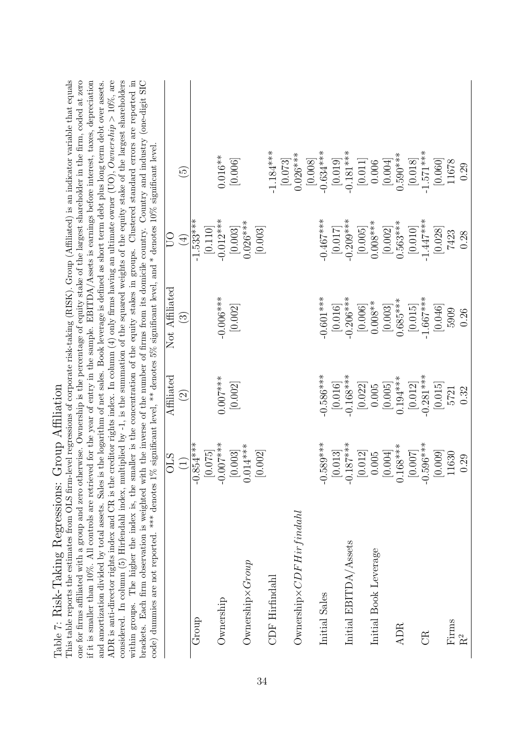| ADR is anti-director rights index and CR is the creditor rights index. In column (4) only firms having an ultimate owner (UO), Ownership > 10%, are<br>This table reports the estimates from OLS firm-level regressions of corporate risk-taking (RISK). Group (Affiliated) is an indicator variable that equals<br>considered. In column (5) Hirfendahl index, multiplied by -1, is the summation of the squared weights of the equity stake of the largest shareholders<br>one for firms affiliated with a group and zero otherwise. Ownership is the percentage of equity stake of the largest shareholder in the firm, coded at zero<br>within groups. The higher the index is, the smaller is the concentration of the equity stakes in groups. Clustered standard errors are reported in<br>brackets. Each firm observation is weighted with the inverse of the number of firms from its domicile country. Country and industry (one-digit SIC<br>if it is smaller than $10\%$ . All controls are retrieved for the year of entry in the sample. EBITDA/Assets is earnings before interest, taxes, depreciation<br>and amortization divided by total assets. Sales is the logarithm of net sales. Book leverage is defined as short term debt plus long term debt over assets.<br>code) dummies are not reported. *** denotes $1\%$ significant level, ** denotes $5\%$ significant level, and * denotes $10\%$ significant level<br>Table 7: Risk-Taking Regressions: Group Affiliation<br>$-0.854***$<br>$\begin{array}{c} [0.075] \\ -0.007 {^{***}} \\ [0.003] \\ [0.014 {^{***}} \end{array}$<br>$-0.589***$<br>$\begin{bmatrix} 0.013 \\ -0.187 {^{***}} \\ 0.012 \end{bmatrix}$<br>$-0.596***$<br>$0.168***$<br>[0.002]<br>[0.009]<br>$\left[0.004\right]$<br>$\left[0.007\right]$<br>11630<br>0.005<br><b>STIO</b><br>0.29<br>$\begin{pmatrix} 1 \\ 1 \end{pmatrix}$<br>$Ownership \times CDFHir finalahl$<br>Initial EBITDA/Assets<br>Initial Book Leverage<br>Ownership × Group<br>CDF Hirfindahl<br>Initial Sales<br>Ownership<br>Group<br>Firms<br><b>ADR</b><br><b>ER</b><br>$\rm R^2$ | $-0.281***$<br>$-0.586***$<br>$[0.016]$<br>$-0.168***$<br>Affiliated<br>$0.194***$<br>$0.007***$<br>[0.002]<br>[0.022]<br>[0.012]<br>$\left[0.005\right]$<br>[0.015]<br>$0.005$<br>5721<br>0.32<br>$\widehat{\Omega}$ | Not Affiliated<br>$-0.006***$<br>$-0.601***$<br>$[0.016]$<br>-0.206***<br>$-1.667***$<br>$0.685***$<br>$0.008**$<br>[0.002]<br>$\left[0.006\right]$<br>[0.003]<br>[0.046]<br>[0.015]<br>5909<br>0.26<br>$\widehat{\mathbb{G}}$ | $-1.533***$<br>$-0.012***$<br>$-0.467***$<br>$[0.017]$<br>-0.209***<br>$-1.447***$<br>$[0.003]$<br>$0.026***$<br>$0.008***$<br>$[0.002]$<br>$0.563***$<br>[0.110]<br>$\left[0.003\right]$<br>$\left[ 0.010\right]$<br>[0.028]<br>$\left[0.005\right]$<br>7423<br>0.28<br>$_{\rm 50}$<br>$\overline{4}$ | $-1.184***$<br>$[0.019]$<br>-0.181***<br>$-1.571***$<br>$-0.634***$<br>$0.026***$<br>$0.590***$<br>$0.016**$<br>$\left[0.073\right]$<br>[0.006]<br>$[0.060]$<br>11678<br>$\left[0.018\right]$<br>[0.008]<br>$[0.004]$<br>$\left[ 0.011\right]$<br>0.006<br>0.29<br>$\widetilde{\Theta}$ |
|-----------------------------------------------------------------------------------------------------------------------------------------------------------------------------------------------------------------------------------------------------------------------------------------------------------------------------------------------------------------------------------------------------------------------------------------------------------------------------------------------------------------------------------------------------------------------------------------------------------------------------------------------------------------------------------------------------------------------------------------------------------------------------------------------------------------------------------------------------------------------------------------------------------------------------------------------------------------------------------------------------------------------------------------------------------------------------------------------------------------------------------------------------------------------------------------------------------------------------------------------------------------------------------------------------------------------------------------------------------------------------------------------------------------------------------------------------------------------------------------------------------------------------------------------------------------------------------------------------------------------------------------------------------------------------------------------------------------------------------------------------------------------------------------------------------------------------------------------------------------------------------------------------------------------------------------------------------------------------------------------------------------------------------------------------------------------------------------------------------|-----------------------------------------------------------------------------------------------------------------------------------------------------------------------------------------------------------------------|--------------------------------------------------------------------------------------------------------------------------------------------------------------------------------------------------------------------------------|--------------------------------------------------------------------------------------------------------------------------------------------------------------------------------------------------------------------------------------------------------------------------------------------------------|-----------------------------------------------------------------------------------------------------------------------------------------------------------------------------------------------------------------------------------------------------------------------------------------|
|-----------------------------------------------------------------------------------------------------------------------------------------------------------------------------------------------------------------------------------------------------------------------------------------------------------------------------------------------------------------------------------------------------------------------------------------------------------------------------------------------------------------------------------------------------------------------------------------------------------------------------------------------------------------------------------------------------------------------------------------------------------------------------------------------------------------------------------------------------------------------------------------------------------------------------------------------------------------------------------------------------------------------------------------------------------------------------------------------------------------------------------------------------------------------------------------------------------------------------------------------------------------------------------------------------------------------------------------------------------------------------------------------------------------------------------------------------------------------------------------------------------------------------------------------------------------------------------------------------------------------------------------------------------------------------------------------------------------------------------------------------------------------------------------------------------------------------------------------------------------------------------------------------------------------------------------------------------------------------------------------------------------------------------------------------------------------------------------------------------|-----------------------------------------------------------------------------------------------------------------------------------------------------------------------------------------------------------------------|--------------------------------------------------------------------------------------------------------------------------------------------------------------------------------------------------------------------------------|--------------------------------------------------------------------------------------------------------------------------------------------------------------------------------------------------------------------------------------------------------------------------------------------------------|-----------------------------------------------------------------------------------------------------------------------------------------------------------------------------------------------------------------------------------------------------------------------------------------|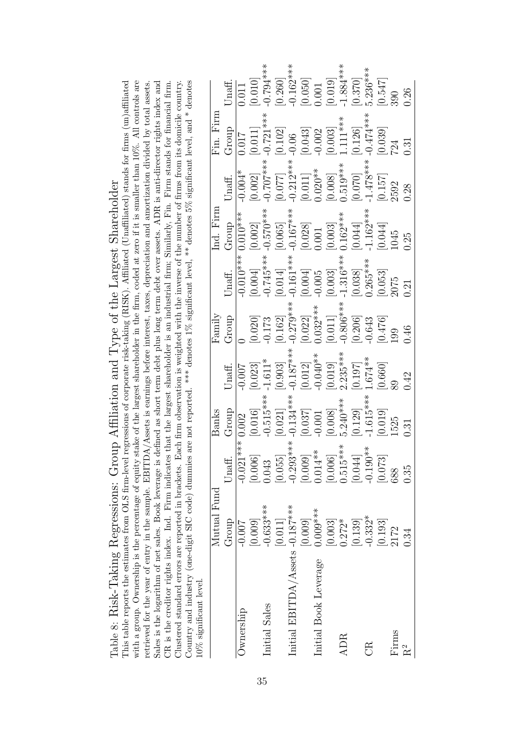| Affiliation and Type of the Largest Shareholder and allement is the strate of the Largest Shareholder | $\frac{1}{2}$ of $\frac{1}{2}$ from large $\frac{1}{2}$ magnetic process of corresponding $\frac{1}{2}$ in $\frac{1}{2}$ in $\frac{1}{2}$ in $\frac{1}{2}$ in $\frac{1}{2}$ in $\frac{1}{2}$ in $\frac{1}{2}$ in $\frac{1}{2}$ in $\frac{1}{2}$ in $\frac{1}{2}$ in $\frac{1}{2}$ in |
|-------------------------------------------------------------------------------------------------------|--------------------------------------------------------------------------------------------------------------------------------------------------------------------------------------------------------------------------------------------------------------------------------------|
|                                                                                                       |                                                                                                                                                                                                                                                                                      |
|                                                                                                       |                                                                                                                                                                                                                                                                                      |
|                                                                                                       |                                                                                                                                                                                                                                                                                      |
|                                                                                                       |                                                                                                                                                                                                                                                                                      |
|                                                                                                       |                                                                                                                                                                                                                                                                                      |
|                                                                                                       |                                                                                                                                                                                                                                                                                      |
|                                                                                                       |                                                                                                                                                                                                                                                                                      |
|                                                                                                       |                                                                                                                                                                                                                                                                                      |
|                                                                                                       |                                                                                                                                                                                                                                                                                      |
|                                                                                                       |                                                                                                                                                                                                                                                                                      |
|                                                                                                       |                                                                                                                                                                                                                                                                                      |
|                                                                                                       |                                                                                                                                                                                                                                                                                      |
|                                                                                                       |                                                                                                                                                                                                                                                                                      |
|                                                                                                       |                                                                                                                                                                                                                                                                                      |
|                                                                                                       |                                                                                                                                                                                                                                                                                      |
|                                                                                                       |                                                                                                                                                                                                                                                                                      |
|                                                                                                       |                                                                                                                                                                                                                                                                                      |
|                                                                                                       |                                                                                                                                                                                                                                                                                      |
|                                                                                                       |                                                                                                                                                                                                                                                                                      |
|                                                                                                       |                                                                                                                                                                                                                                                                                      |
|                                                                                                       |                                                                                                                                                                                                                                                                                      |
|                                                                                                       |                                                                                                                                                                                                                                                                                      |
|                                                                                                       |                                                                                                                                                                                                                                                                                      |
|                                                                                                       |                                                                                                                                                                                                                                                                                      |
| l                                                                                                     |                                                                                                                                                                                                                                                                                      |
|                                                                                                       |                                                                                                                                                                                                                                                                                      |
|                                                                                                       |                                                                                                                                                                                                                                                                                      |
|                                                                                                       |                                                                                                                                                                                                                                                                                      |
|                                                                                                       |                                                                                                                                                                                                                                                                                      |
|                                                                                                       |                                                                                                                                                                                                                                                                                      |

Country and industry (one-digit SIC code) dummies are not reported. \*\*\* denotes  $1\%$  significant level, \*\* denotes  $5\%$  significant level, and \* denotes with a group. Ownership is the percentage of equity stake of the largest shareholder in the firm, coded at zero if it is smaller than  $10\%$ . All controls are This table reports the estimates from OLS firm-level regressions of corporate risk-taking (RISK). Affiliated (Unaffiliated) stands for firms (un)affiliated retrieved for the year of entry in the sample. EBITDA/Assets is earnings before interest, taxes, depreciation and amortization divided by total assets. Sales is the logarithm of net sales. Book leverage is defined as short term debt plus long term debt over assets. ADR is anti-director rights index and CR is the creditor rights index. Ind. Firm indicates that the largest shareholder is an industrial firm; Similarly, Fin. Firm stands for financial firm. Clustered standard errors are reported in brackets. Each firm observation is weighted with the inverse of the number of firms from its domicile country. This table reports the estimates from OLS firm-level regressions of corporate risk-taking (RISK). Affiliated (Unaffiliated) stands for firms (un)affiliated with a group. Ownership is the percentage of equity stake of the largest shareholder in the firm, coded at zero if it is smaller than 10%. All controls are retrieved for the year of entry in the sample. EBITDA/Assets is earnings before interest, taxes, depreciation and amortization divided by total assets. Sales is the logarithm of net sales. Book leverage is defined as short term debt plus long term debt over assets. ADR is anti-director rights index and CR is the creditor rights index. Ind. Firm indicates that the largest shareholder is an industrial firm; Similarly, Fin. Firm stands for financial firm. Clustered standard errors are reported in brackets. Each firm observation is weighted with the inverse of the number of firms from its domicile country. Country and industry (one-digit SIC code) dummies are not reported. \*\*\* denotes 1% significant level, \*\* denotes 5% significant level, and \* denotes 10% significant level.

| $10\%$ significant level.       |                      |                              |                                                                                                                                                                                            |                                                                                                                                                                                                                                                                                                       |                                                                                                                                                                                                                                                                   |                                                                                                                                                                                                                                                                                                                              |                                                                                                                                                                                                                     |                                                                                                                                                                                                                                                                                                                                                                                                                                                             |                                                                                                                                                                                                                                                   |                                                                                                                                                                                                                      |
|---------------------------------|----------------------|------------------------------|--------------------------------------------------------------------------------------------------------------------------------------------------------------------------------------------|-------------------------------------------------------------------------------------------------------------------------------------------------------------------------------------------------------------------------------------------------------------------------------------------------------|-------------------------------------------------------------------------------------------------------------------------------------------------------------------------------------------------------------------------------------------------------------------|------------------------------------------------------------------------------------------------------------------------------------------------------------------------------------------------------------------------------------------------------------------------------------------------------------------------------|---------------------------------------------------------------------------------------------------------------------------------------------------------------------------------------------------------------------|-------------------------------------------------------------------------------------------------------------------------------------------------------------------------------------------------------------------------------------------------------------------------------------------------------------------------------------------------------------------------------------------------------------------------------------------------------------|---------------------------------------------------------------------------------------------------------------------------------------------------------------------------------------------------------------------------------------------------|----------------------------------------------------------------------------------------------------------------------------------------------------------------------------------------------------------------------|
|                                 | Mutual Fund          |                              | Banks                                                                                                                                                                                      |                                                                                                                                                                                                                                                                                                       | $\operatorname{Family}$                                                                                                                                                                                                                                           |                                                                                                                                                                                                                                                                                                                              | Ind. Firm                                                                                                                                                                                                           |                                                                                                                                                                                                                                                                                                                                                                                                                                                             | $\overline{r}$ in. Firm                                                                                                                                                                                                                           |                                                                                                                                                                                                                      |
|                                 | Group                | Unaff.                       | Group                                                                                                                                                                                      | Unaff.                                                                                                                                                                                                                                                                                                | Group                                                                                                                                                                                                                                                             | Jnaff.                                                                                                                                                                                                                                                                                                                       | Group                                                                                                                                                                                                               | Unaff.                                                                                                                                                                                                                                                                                                                                                                                                                                                      | Group                                                                                                                                                                                                                                             | Unaff.                                                                                                                                                                                                               |
| Jwnership                       | $-0.007$             | ***<br>$-0.021$ <sup>*</sup> | 0.002                                                                                                                                                                                      |                                                                                                                                                                                                                                                                                                       |                                                                                                                                                                                                                                                                   |                                                                                                                                                                                                                                                                                                                              | $\overline{0.010}$ ***                                                                                                                                                                                              | $-0.004*$                                                                                                                                                                                                                                                                                                                                                                                                                                                   |                                                                                                                                                                                                                                                   |                                                                                                                                                                                                                      |
|                                 | [0.009]              | [0.006]                      |                                                                                                                                                                                            |                                                                                                                                                                                                                                                                                                       |                                                                                                                                                                                                                                                                   |                                                                                                                                                                                                                                                                                                                              |                                                                                                                                                                                                                     |                                                                                                                                                                                                                                                                                                                                                                                                                                                             |                                                                                                                                                                                                                                                   |                                                                                                                                                                                                                      |
| Initial Sales                   | $-0.633***$          | 0.043                        |                                                                                                                                                                                            |                                                                                                                                                                                                                                                                                                       |                                                                                                                                                                                                                                                                   |                                                                                                                                                                                                                                                                                                                              |                                                                                                                                                                                                                     |                                                                                                                                                                                                                                                                                                                                                                                                                                                             |                                                                                                                                                                                                                                                   |                                                                                                                                                                                                                      |
|                                 | [0.011]              | [0.055]                      |                                                                                                                                                                                            |                                                                                                                                                                                                                                                                                                       |                                                                                                                                                                                                                                                                   |                                                                                                                                                                                                                                                                                                                              |                                                                                                                                                                                                                     |                                                                                                                                                                                                                                                                                                                                                                                                                                                             |                                                                                                                                                                                                                                                   |                                                                                                                                                                                                                      |
| Initial EBITDA/Assets -0.187*** |                      | $-0.293***$                  |                                                                                                                                                                                            |                                                                                                                                                                                                                                                                                                       |                                                                                                                                                                                                                                                                   |                                                                                                                                                                                                                                                                                                                              |                                                                                                                                                                                                                     |                                                                                                                                                                                                                                                                                                                                                                                                                                                             |                                                                                                                                                                                                                                                   |                                                                                                                                                                                                                      |
|                                 | [600]                | $[0.009]$<br>$0.014**$       | $\begin{array}{c} [0.016] \\ -0.515^{***} \\ -0.021] \\ -0.134^{***} \\ [0.037] \\ -0.001 \\ [0.008] \\ 0.129] \\ -1.615^{***} \\ [0.0129] \\ -1.615^{***} \\ [0.019] \\ 1525 \end{array}$ | $\begin{bmatrix} 0.007 \\ 0.023 \\ 1.611^{*} \\ 0.903 \\ 0.187^{***} \\ 0.012 \\ 0.014 \\ 0.019 \\ 0.019 \\ 0.197 \\ 0.197 \\ 0.197 \\ 0.197 \\ 0.600 \\ 0.600 \\ 0.600 \\ 0.600 \\ 0.600 \\ 0.600 \\ 0.600 \\ 0.600 \\ 0.600 \\ 0.600 \\ 0.600 \\ 0.600 \\ 0.600 \\ 0.600 \\ 0.600 \\ 0.600 \\ 0.60$ | $\begin{array}{l} [0.020] \\[-2pt] 0.173 \\[-2pt] 0.162] \\[-2pt] 0.279*** \\[-2pt] 0.032* \\[-2pt] 0.032* \\[-2pt] 0.032* \\[-2pt] 0.011] \\[-2pt] 0.006** \\[-2pt] 0.206\\[-2pt] 0.043 \\[-2pt] 0.476] \\[-2pt] 0.476] \\[-2pt] 0.49 \\[-2pt] 0.46 \end{array}$ | $\begin{bmatrix} 0.010^{***} \\ [0.004] \\ [0.745^{***}] \\ [0.014] \\ [0.004] \\ [0.005] \\ [0.005] \\ [0.038] \\ [0.053] \\ [0.053] \\ [0.053] \\ [0.053] \\ [0.053] \\ [0.053] \\ [0.053] \\ [0.053] \\ [0.053] \\ [0.053] \\ [0.053] \\ [0.053] \\ [0.053] \\ [0.053] \\ [0.053] \\ [0.053] \\ [0.053] \\ [0.053] \\ [0$ | $\begin{array}{c} [0.002] \\ -0.570^{***} \\ [0.065] \\ [0.065] \\ [0.028] \\ [0.028] \\ [0.001] \\ [0.003] \\ [0.044] \\ [0.044] \\ [0.044] \\ [0.044] \\ [0.044] \\ [0.045] \\ [0.044] \\ [0.045] \\ \end{array}$ | $[0.002] \newline [-0.707***$ \newline [-0.707] \newline [-0.212***$ \newline [-0.212***$ \newline [-0.011] \newline [0.020**$ \newline [-0.519***$ \newline [-0.519***$ \newline [-1.478***$ \newline [-1.478***$ \newline [-1.57] \newline [-0.157] \newline [-0.157] \newline [-0.157] \newline [-0.157] \newline [-0.157] \newline [-0.157] \newline [-0.157] \newline [-0.157] \newline [-0.157] \newline [-0.157] \newline [-0.157] \newline [-0.157$ | $\begin{array}{r l} \hline 0.017 \\ [0.011] \\ [0.102] \\ [0.102] \\ [0.043] \\ [0.002] \\ [0.003] \\ [0.11** \\ 1.11** \\ [0.126] \\ [0.126] \\ [0.039] \\ [0.039] \\ [0.039] \\ [0.039] \\ [0.039] \\ [0.039] \\ [0.039] \\ \hline \end{array}$ | $\begin{array}{c} [0.011] \\ [0.010] \\ [-0.794*** \\[-0.794** \\[-0.260] \\ [0.050] \\ [0.050] \\ [0.019] \\ [0.370] \\ [-3.834** \\[-0.370] \\ [0.370] \\ [0.547] \\ [0.547] \\ [0.547] \\ [0.547] \\ \end{array}$ |
| Initial Book Leverage           | $0.009***$           |                              |                                                                                                                                                                                            |                                                                                                                                                                                                                                                                                                       |                                                                                                                                                                                                                                                                   |                                                                                                                                                                                                                                                                                                                              |                                                                                                                                                                                                                     |                                                                                                                                                                                                                                                                                                                                                                                                                                                             |                                                                                                                                                                                                                                                   |                                                                                                                                                                                                                      |
|                                 | $\left[0.003\right]$ | [0.006]                      |                                                                                                                                                                                            |                                                                                                                                                                                                                                                                                                       |                                                                                                                                                                                                                                                                   |                                                                                                                                                                                                                                                                                                                              |                                                                                                                                                                                                                     |                                                                                                                                                                                                                                                                                                                                                                                                                                                             |                                                                                                                                                                                                                                                   |                                                                                                                                                                                                                      |
| <b>ADR</b>                      | $0.272*$             | $0.515***$                   |                                                                                                                                                                                            |                                                                                                                                                                                                                                                                                                       |                                                                                                                                                                                                                                                                   |                                                                                                                                                                                                                                                                                                                              |                                                                                                                                                                                                                     |                                                                                                                                                                                                                                                                                                                                                                                                                                                             |                                                                                                                                                                                                                                                   |                                                                                                                                                                                                                      |
|                                 | $\left[0.139\right]$ | [0.044]                      |                                                                                                                                                                                            |                                                                                                                                                                                                                                                                                                       |                                                                                                                                                                                                                                                                   |                                                                                                                                                                                                                                                                                                                              |                                                                                                                                                                                                                     |                                                                                                                                                                                                                                                                                                                                                                                                                                                             |                                                                                                                                                                                                                                                   |                                                                                                                                                                                                                      |
| Ë                               | $-0.332*$            | $-0.190**$                   |                                                                                                                                                                                            |                                                                                                                                                                                                                                                                                                       |                                                                                                                                                                                                                                                                   |                                                                                                                                                                                                                                                                                                                              |                                                                                                                                                                                                                     |                                                                                                                                                                                                                                                                                                                                                                                                                                                             |                                                                                                                                                                                                                                                   |                                                                                                                                                                                                                      |
|                                 | [0.193]              | 0.073                        |                                                                                                                                                                                            |                                                                                                                                                                                                                                                                                                       |                                                                                                                                                                                                                                                                   |                                                                                                                                                                                                                                                                                                                              |                                                                                                                                                                                                                     |                                                                                                                                                                                                                                                                                                                                                                                                                                                             |                                                                                                                                                                                                                                                   |                                                                                                                                                                                                                      |
| Firms                           | 2172                 | 688                          |                                                                                                                                                                                            |                                                                                                                                                                                                                                                                                                       |                                                                                                                                                                                                                                                                   |                                                                                                                                                                                                                                                                                                                              |                                                                                                                                                                                                                     |                                                                                                                                                                                                                                                                                                                                                                                                                                                             |                                                                                                                                                                                                                                                   |                                                                                                                                                                                                                      |
| $\rm R^2$                       | 0.34                 | 0.35                         | 0.31                                                                                                                                                                                       | 0.42                                                                                                                                                                                                                                                                                                  |                                                                                                                                                                                                                                                                   |                                                                                                                                                                                                                                                                                                                              |                                                                                                                                                                                                                     | 0.28                                                                                                                                                                                                                                                                                                                                                                                                                                                        | 0.31                                                                                                                                                                                                                                              | 0.26                                                                                                                                                                                                                 |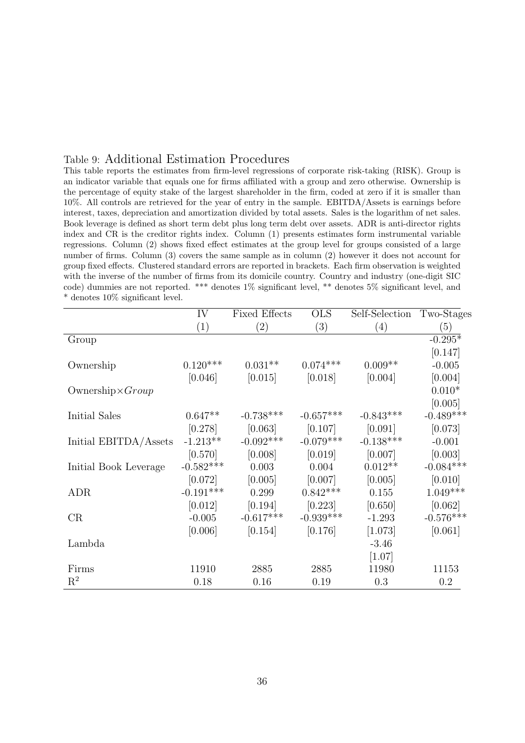### Table 9: Additional Estimation Procedures

This table reports the estimates from firm-level regressions of corporate risk-taking (RISK). Group is an indicator variable that equals one for firms affiliated with a group and zero otherwise. Ownership is the percentage of equity stake of the largest shareholder in the firm, coded at zero if it is smaller than 10%. All controls are retrieved for the year of entry in the sample. EBITDA/Assets is earnings before interest, taxes, depreciation and amortization divided by total assets. Sales is the logarithm of net sales. Book leverage is defined as short term debt plus long term debt over assets. ADR is anti-director rights index and CR is the creditor rights index. Column (1) presents estimates form instrumental variable regressions. Column (2) shows fixed effect estimates at the group level for groups consisted of a large number of firms. Column (3) covers the same sample as in column (2) however it does not account for group fixed effects. Clustered standard errors are reported in brackets. Each firm observation is weighted with the inverse of the number of firms from its domicile country. Country and industry (one-digit SIC code) dummies are not reported. \*\*\* denotes 1% significant level, \*\* denotes 5% significant level, and \* denotes 10% significant level.

|                          | IV          | <b>Fixed Effects</b> | <b>OLS</b>  | Self-Selection Two-Stages |             |
|--------------------------|-------------|----------------------|-------------|---------------------------|-------------|
|                          | (1)         | $\left( 2\right)$    | (3)         | (4)                       | (5)         |
| Group                    |             |                      |             |                           | $-0.295*$   |
|                          |             |                      |             |                           | [0.147]     |
| Ownership                | $0.120***$  | $0.031**$            | $0.074***$  | $0.009**$                 | $-0.005$    |
|                          | [0.046]     | [0.015]              | [0.018]     | [0.004]                   | [0.004]     |
| Ownership $\times Group$ |             |                      |             |                           | $0.010*$    |
|                          |             |                      |             |                           | [0.005]     |
| Initial Sales            | $0.647**$   | $-0.738***$          | $-0.657***$ | $-0.843***$               | $-0.489***$ |
|                          | [0.278]     | [0.063]              | [0.107]     | [0.091]                   | [0.073]     |
| Initial EBITDA/Assets    | $-1.213**$  | $-0.092***$          | $-0.079***$ | $-0.138***$               | $-0.001$    |
|                          | [0.570]     | [0.008]              | [0.019]     | [0.007]                   | [0.003]     |
| Initial Book Leverage    | $-0.582***$ | 0.003                | 0.004       | $0.012**$                 | $-0.084***$ |
|                          | [0.072]     | [0.005]              | [0.007]     | [0.005]                   | [0.010]     |
| <b>ADR</b>               | $-0.191***$ | 0.299                | $0.842***$  | 0.155                     | $1.049***$  |
|                          | [0.012]     | [0.194]              | [0.223]     | [0.650]                   | [0.062]     |
| CR                       | $-0.005$    | $-0.617***$          | $-0.939***$ | $-1.293$                  | $-0.576***$ |
|                          | [0.006]     | [0.154]              | [0.176]     | [1.073]                   | [0.061]     |
| Lambda                   |             |                      |             | $-3.46$                   |             |
|                          |             |                      |             | $[1.07]$                  |             |
| Firms                    | 11910       | 2885                 | 2885        | 11980                     | 11153       |
| $\mathbf{R}^2$           | 0.18        | 0.16                 | 0.19        | 0.3                       | 0.2         |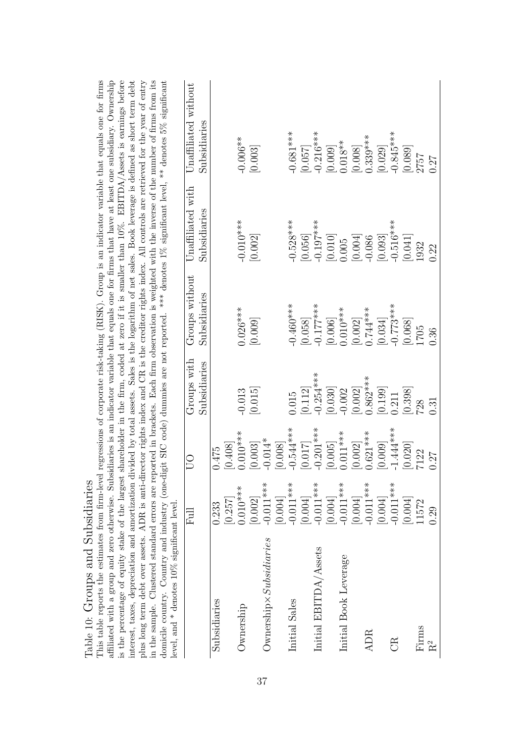| affiliated with a group and zero otherwise. Subsidiaries is an indicator variable that equals one for firms that have at least one subsidiary. Ownership<br>interest, taxes, depreciation and amortization divided by total assets. Sales is the logarithm of net sales. Book leverage is defined as short term debt<br>plus long term debt over assets. ADR is anti-director rights index and CR is the creditor rights index. All controls are retrieved for the year of entry<br>in the sample. Clustered standard errors are reported in brackets. Each firm observation is weighted with the inverse of the number of firms from its<br>This table reports the estimates from firm-level regressions of corporate risk-taking (RISK). Group is an indicator variable that equals one for firms<br>is the percentage of equity stake of the largest<br>domicile country. Country and industry (one-d<br>Table 10: Groups and Subsidiaries<br>level, and $*$ denotes 10% significant level |                          |                      |                             |                                |                                   | shareholder in the firm, coded at zero if it is smaller than 10%. EBITDA/Assets is earnings before<br>igit SIC code) dummies are not reported. *** denotes 1% significant level, ** denotes 5% significant |
|-----------------------------------------------------------------------------------------------------------------------------------------------------------------------------------------------------------------------------------------------------------------------------------------------------------------------------------------------------------------------------------------------------------------------------------------------------------------------------------------------------------------------------------------------------------------------------------------------------------------------------------------------------------------------------------------------------------------------------------------------------------------------------------------------------------------------------------------------------------------------------------------------------------------------------------------------------------------------------------------------|--------------------------|----------------------|-----------------------------|--------------------------------|-----------------------------------|------------------------------------------------------------------------------------------------------------------------------------------------------------------------------------------------------------|
|                                                                                                                                                                                                                                                                                                                                                                                                                                                                                                                                                                                                                                                                                                                                                                                                                                                                                                                                                                                               | 日                        | <b>DD</b>            | Groups with<br>Subsidiaries | Groups without<br>Subsidiaries | Unaffiliated with<br>Subsidiaries | Unaffiliated without<br>Subsidiaries                                                                                                                                                                       |
| Subsidiaries                                                                                                                                                                                                                                                                                                                                                                                                                                                                                                                                                                                                                                                                                                                                                                                                                                                                                                                                                                                  | [0.257]<br>0.233         | [0.408]<br>0.475     |                             |                                |                                   |                                                                                                                                                                                                            |
| Ownership                                                                                                                                                                                                                                                                                                                                                                                                                                                                                                                                                                                                                                                                                                                                                                                                                                                                                                                                                                                     | $0.010***$               | $0.010***$           | $-0.013$                    | $0.026***$                     | $-0.010***$                       | $-0.006**$                                                                                                                                                                                                 |
|                                                                                                                                                                                                                                                                                                                                                                                                                                                                                                                                                                                                                                                                                                                                                                                                                                                                                                                                                                                               | [0.002]                  | [0.003]              | [0.015]                     | [0.009]                        | [0.002]                           | [0.003]                                                                                                                                                                                                    |
| $O$ wnership $\times Subsidiaries$                                                                                                                                                                                                                                                                                                                                                                                                                                                                                                                                                                                                                                                                                                                                                                                                                                                                                                                                                            | $-0.011***$<br>[0.004]   | $-0.014*$<br>[0.008] |                             |                                |                                   |                                                                                                                                                                                                            |
| Initial Sales                                                                                                                                                                                                                                                                                                                                                                                                                                                                                                                                                                                                                                                                                                                                                                                                                                                                                                                                                                                 | $-0.011***$              | $-0.544***$          | 0.015                       | $-0.460***$                    | $-0.528***$                       | $-0.681***$                                                                                                                                                                                                |
|                                                                                                                                                                                                                                                                                                                                                                                                                                                                                                                                                                                                                                                                                                                                                                                                                                                                                                                                                                                               |                          | [0.017]              | [0.112]                     | [0.058]                        | [0.056]                           | [0.057]                                                                                                                                                                                                    |
| Initial EBITDA/Assets                                                                                                                                                                                                                                                                                                                                                                                                                                                                                                                                                                                                                                                                                                                                                                                                                                                                                                                                                                         | $[0.004]$<br>$-0.011***$ | $-0.201***$          | $-0.254***$                 | $-0.177***$                    | $-0.197***$                       | $-0.216***$                                                                                                                                                                                                |
|                                                                                                                                                                                                                                                                                                                                                                                                                                                                                                                                                                                                                                                                                                                                                                                                                                                                                                                                                                                               | $[0.004]$<br>$-0.011***$ | [0.005]              | [0.030]                     | [0.006]                        | [0.010]                           | [0.009]                                                                                                                                                                                                    |
| Initial Book Leverage                                                                                                                                                                                                                                                                                                                                                                                                                                                                                                                                                                                                                                                                                                                                                                                                                                                                                                                                                                         |                          | $0.011***$           | $-0.002$                    | $0.010***$                     | 0.005                             | $0.018**$                                                                                                                                                                                                  |
|                                                                                                                                                                                                                                                                                                                                                                                                                                                                                                                                                                                                                                                                                                                                                                                                                                                                                                                                                                                               | [0.004]                  | [0.002]              | [0.002]                     | [0.002]                        | [0.004]                           | [0.008]                                                                                                                                                                                                    |
| ADR                                                                                                                                                                                                                                                                                                                                                                                                                                                                                                                                                                                                                                                                                                                                                                                                                                                                                                                                                                                           | $-0.011***$              | $0.621***$           | $0.862***$                  | $0.744***$                     | $-0.086$                          | $0.339***$                                                                                                                                                                                                 |
|                                                                                                                                                                                                                                                                                                                                                                                                                                                                                                                                                                                                                                                                                                                                                                                                                                                                                                                                                                                               | [0.004]                  | [0.009]              | [0.199]                     | [0.034]                        | [0.093]                           | [0.029]                                                                                                                                                                                                    |
| GR                                                                                                                                                                                                                                                                                                                                                                                                                                                                                                                                                                                                                                                                                                                                                                                                                                                                                                                                                                                            | $-0.011***$              | $-1.444***$          | 0.211                       | $-0.773***$                    | $-0.516***$                       | $-0.845***$                                                                                                                                                                                                |
|                                                                                                                                                                                                                                                                                                                                                                                                                                                                                                                                                                                                                                                                                                                                                                                                                                                                                                                                                                                               | [0.004]                  | [0.020]              | 0.398                       | [0.068]                        | [0.041]                           | [0.089]                                                                                                                                                                                                    |
| Firms                                                                                                                                                                                                                                                                                                                                                                                                                                                                                                                                                                                                                                                                                                                                                                                                                                                                                                                                                                                         | 11572                    | 7122                 | 728                         | 1705                           | 1932                              | 2757                                                                                                                                                                                                       |
| R <sup>2</sup>                                                                                                                                                                                                                                                                                                                                                                                                                                                                                                                                                                                                                                                                                                                                                                                                                                                                                                                                                                                | 0.29                     | 0.27                 | 0.31                        | 0.36                           | 0.22                              | 0.27                                                                                                                                                                                                       |

Table 10: Groups and Subsidiaries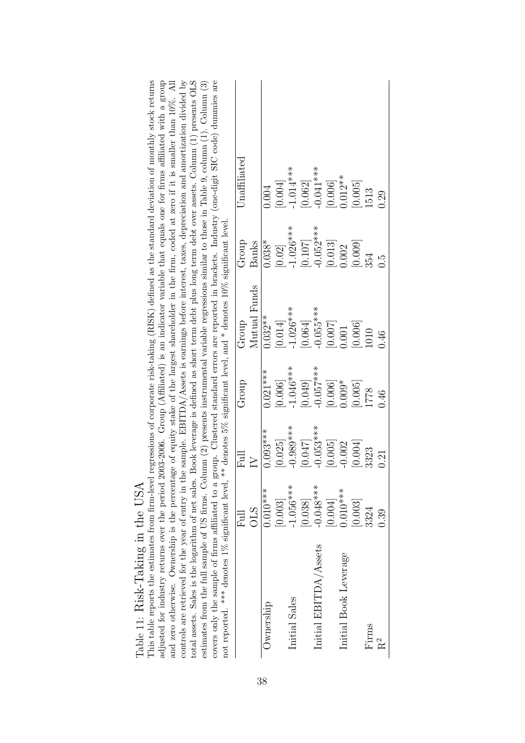| Book leverage is defined as short term debt plus long term debt over assets. Column (1) presents OLS<br>regressions of corporate risk-taking (RISK) defined as the standard deviation of monthly stock returns<br>controls are retrieved for the year of entry in the sample. EBITDA/Assets is earnings before interest, taxes, depreciation and amortization divided by<br>covers only the sample of firms affiliated to a group. Clustered standard errors are reported in brackets. Industry (one-digit SIC code) dummies are<br>adjusted for industry returns over the period 2003-2006. Group (Affiliated) is an indicator variable that equals one for firms affiliated with a group<br>and zero otherwise. Ownership is the percentage of equity stake of the largest shareholder in the firm, coded at zero if it is smaller than 10%. All<br>estimates from the full sample of US firms. Column (2) presents instrumental variable regressions similar to those in Table 9, column (1). Column (3) | $\rm Unaffiliated$ |              | 0.004      | [0.004] | $-1.014***$   | [0.062] | $-0.041***$           | [0.006] | $0.012**$             | [0.005] | 1513  | 0.29  |
|-------------------------------------------------------------------------------------------------------------------------------------------------------------------------------------------------------------------------------------------------------------------------------------------------------------------------------------------------------------------------------------------------------------------------------------------------------------------------------------------------------------------------------------------------------------------------------------------------------------------------------------------------------------------------------------------------------------------------------------------------------------------------------------------------------------------------------------------------------------------------------------------------------------------------------------------------------------------------------------------------------------|--------------------|--------------|------------|---------|---------------|---------|-----------------------|---------|-----------------------|---------|-------|-------|
|                                                                                                                                                                                                                                                                                                                                                                                                                                                                                                                                                                                                                                                                                                                                                                                                                                                                                                                                                                                                             | Group              | Banks        | $0.038*$   | [0.02]  | $-1.026***$   | [0.107] | $-0.052***$           | [0.013] | 0.002                 | [0.009] | 354   | C.O   |
|                                                                                                                                                                                                                                                                                                                                                                                                                                                                                                                                                                                                                                                                                                                                                                                                                                                                                                                                                                                                             | Group              | Mutual Funds | $0.032***$ | [0.014] | $-1.026***$   | [0.064] | $-0.055***$           | [0.007] | 0.001                 | [0.006] | 1010  | 0.46  |
|                                                                                                                                                                                                                                                                                                                                                                                                                                                                                                                                                                                                                                                                                                                                                                                                                                                                                                                                                                                                             | Group              |              | $0.021***$ | [0.006] | $-1.046***$   | [0.049] | $-0.057***$           | [0.006] | $0.009*$              | [0.005] | 1778  | 0.46  |
|                                                                                                                                                                                                                                                                                                                                                                                                                                                                                                                                                                                                                                                                                                                                                                                                                                                                                                                                                                                                             | Full               | $\geq$       | $0.093***$ | [0.025] | $-0.989***$   | [0.047] | $-0.053***$           | [0.005] | $-0.002$              | [0.004] | 3323  | 0.21  |
|                                                                                                                                                                                                                                                                                                                                                                                                                                                                                                                                                                                                                                                                                                                                                                                                                                                                                                                                                                                                             | Full               | <b>OLS</b>   | $0.010***$ | [0.003] | $-1.056***$   | [0.038] | $-0.048***$           | 0.004   | $0.010***$            | [0.003] | 3324  | 0.39  |
| not reported. *** denotes 1% significant level, ** denotes 5% significant level, and * denotes 10% significant level.<br>This table reports the estimates from firm-level<br>total assets. Sales is the logarithm of net sales.                                                                                                                                                                                                                                                                                                                                                                                                                                                                                                                                                                                                                                                                                                                                                                             |                    |              | Ownership  |         | Initial Sales |         | Initial EBITDA/Assets |         | Initial Book Leverage |         | Firms | $R^2$ |

| Table 11: Risk-Taking in the USA | This table reports the estimates from firm-leve |
|----------------------------------|-------------------------------------------------|
|                                  |                                                 |
|                                  |                                                 |

38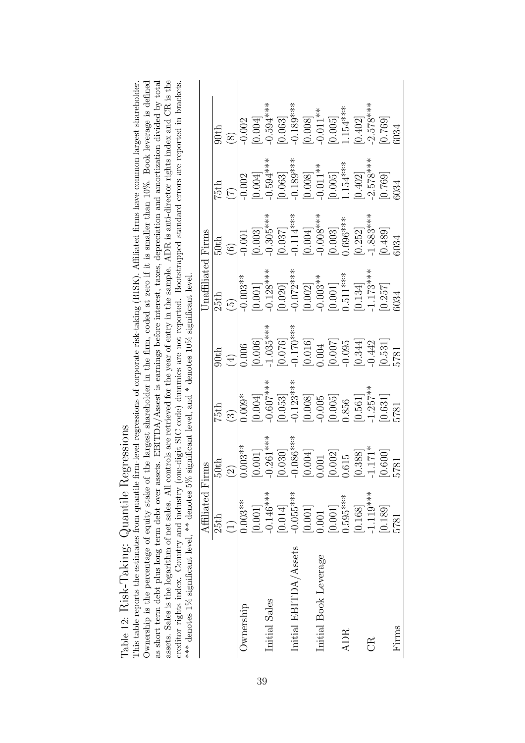as short term debt plus long term debt over assets. EBITDA/Assest is earnings before interest, taxes, depreciation and amortization divided by total<br>assets. Sales is the logarithm of net sales. All controls are retrieved f This table reports the estimates from quantile firm-level regressions of corporate risk-taking (RISK). Affiliated firms have common largest shareholder. Ownership is the percentage of equity stake of the largest shareholder in the firm, coded at zero if it is smaller than 10%. Book leverage is defined This table reports the estimates from quantile firm-level regressions of corporate risk-taking (RISK). Affiliated firms have common largest shareholder. Ownership is the percentage of equity stake of the largest shareholder in the firm, coded at zero if it is smaller than 10%. Book leverage is defined as short term debt plus long term debt over assets. EBITDA/Assest is earnings before interest, taxes, depreciation and amortization divided by total assets. Sales is the logarithm of net sales. All controls are retrieved for the year of entry in the sample. ADR is anti-director rights index and CR is the Table 12: Risk-Taking: Quantile Regressions Table 12: Risk-Taking: Quantile Regressions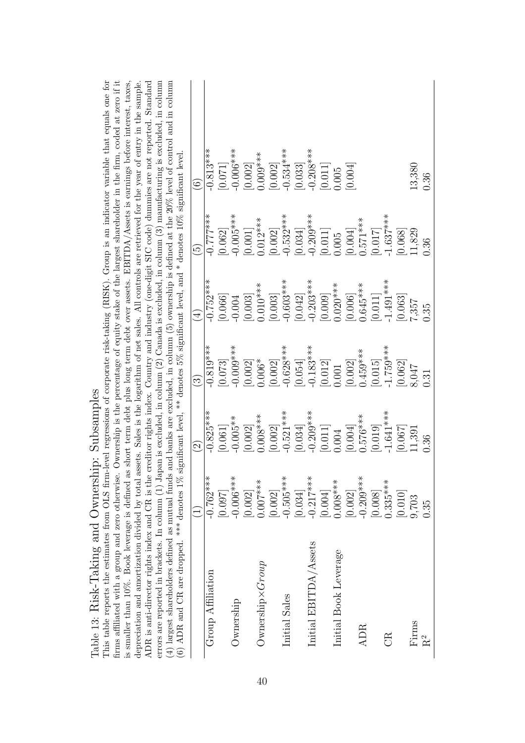| This table reports the estimates from OLS firm-level regressions of corporate risk-taking (RISK). Group is an indicator variable that equals one for<br>ADR is anti-director rights index and CR is the creditor rights index. Country and industry (one-digit SIC code) dummies are not reported. Standard<br>errors are reported in brackets. In column (1) Japan is excluded, in column (2) Canada is excluded, in column (3) manufacturing is excluded, in column<br>is smaller than 10%. Book leverage is defined as short term debt plus long term debt over assets. EBITDA/Assets is earnings before interest, taxes,<br>depreciation and amortization divided by total assets. Sales is the logarithm of net sales. All controls are retrieved for the year of entry in the sample.<br>firms affiliated with a group and zero otherwise.<br>$(4)$ largest shareholders defined as mutual funds<br>(6) ADR and CR are dropped. *** denotes $1\%$ |             |                    |                        |             | significant level, ** denotes $5\%$ significant level, and * denotes $10\%$ significant level | Ownership is the percentage of equity stake of the largest shareholder in the firm, coded at zero if it<br>and banks are excluded, in column (5) ownership is defined at the $20\%$ level of control and in column |
|---------------------------------------------------------------------------------------------------------------------------------------------------------------------------------------------------------------------------------------------------------------------------------------------------------------------------------------------------------------------------------------------------------------------------------------------------------------------------------------------------------------------------------------------------------------------------------------------------------------------------------------------------------------------------------------------------------------------------------------------------------------------------------------------------------------------------------------------------------------------------------------------------------------------------------------------------------|-------------|--------------------|------------------------|-------------|-----------------------------------------------------------------------------------------------|--------------------------------------------------------------------------------------------------------------------------------------------------------------------------------------------------------------------|
|                                                                                                                                                                                                                                                                                                                                                                                                                                                                                                                                                                                                                                                                                                                                                                                                                                                                                                                                                         |             | $\widehat{\Omega}$ | $\widehat{\mathbb{G}}$ | $\bigoplus$ | $\widetilde{\Theta}$                                                                          | $\widehat{\odot}$                                                                                                                                                                                                  |
| Group Affiliation                                                                                                                                                                                                                                                                                                                                                                                                                                                                                                                                                                                                                                                                                                                                                                                                                                                                                                                                       | $-0.762***$ | $-0.825***$        | $-0.819***$            | $-0.752***$ | $***$<br>$-0.777***$                                                                          | $-0.813***$                                                                                                                                                                                                        |
|                                                                                                                                                                                                                                                                                                                                                                                                                                                                                                                                                                                                                                                                                                                                                                                                                                                                                                                                                         | [0.097]     | [0.061]            | [0.073]                | [0.066]     | [0.062]                                                                                       | [0.071]                                                                                                                                                                                                            |
| Ownership                                                                                                                                                                                                                                                                                                                                                                                                                                                                                                                                                                                                                                                                                                                                                                                                                                                                                                                                               | $-0.006***$ | $-0.005**$         | $-0.009***$            | $-0.004$    | $0.005***$                                                                                    | $-0.006***$                                                                                                                                                                                                        |
|                                                                                                                                                                                                                                                                                                                                                                                                                                                                                                                                                                                                                                                                                                                                                                                                                                                                                                                                                         | [0.002]     | [0.002]            | [0.002]                | [0.003]     | [0.001]                                                                                       | [0.002]                                                                                                                                                                                                            |
| $O$ wnership $\times Group$                                                                                                                                                                                                                                                                                                                                                                                                                                                                                                                                                                                                                                                                                                                                                                                                                                                                                                                             | $0.007***$  | $0.008***$         | $0.006*$               | $0.010***$  | $0.012***$                                                                                    | $0.009***$                                                                                                                                                                                                         |
|                                                                                                                                                                                                                                                                                                                                                                                                                                                                                                                                                                                                                                                                                                                                                                                                                                                                                                                                                         | 0.002       | [0.002]            | [0.002]                | [0.003]     | [0.002]                                                                                       | [0.002]                                                                                                                                                                                                            |
| Initial Sales                                                                                                                                                                                                                                                                                                                                                                                                                                                                                                                                                                                                                                                                                                                                                                                                                                                                                                                                           | $-0.505***$ | $-0.521***$        | $-0.628***$            | $-0.603***$ | $-0.532***$                                                                                   | $-0.534***$                                                                                                                                                                                                        |
|                                                                                                                                                                                                                                                                                                                                                                                                                                                                                                                                                                                                                                                                                                                                                                                                                                                                                                                                                         | 0.034       | [0.034]            | [0.054]                | [0.042]     | [0.034]                                                                                       | [0.033]                                                                                                                                                                                                            |
| Initial EBITDA/Assets                                                                                                                                                                                                                                                                                                                                                                                                                                                                                                                                                                                                                                                                                                                                                                                                                                                                                                                                   | $-0.217***$ | $-0.209***$        | $-0.183***$            | $-0.203***$ | $0.209***$                                                                                    | $-0.208***$                                                                                                                                                                                                        |
|                                                                                                                                                                                                                                                                                                                                                                                                                                                                                                                                                                                                                                                                                                                                                                                                                                                                                                                                                         | [0.004]     | [0.011]            | [0.012]                | [0.009]     | [0.011]                                                                                       | $[0.011]$                                                                                                                                                                                                          |
| Initial Book Leverage                                                                                                                                                                                                                                                                                                                                                                                                                                                                                                                                                                                                                                                                                                                                                                                                                                                                                                                                   | $0.008***$  | 0.004              | 0.001                  | $0.020***$  | 0.005                                                                                         | 0.005                                                                                                                                                                                                              |
|                                                                                                                                                                                                                                                                                                                                                                                                                                                                                                                                                                                                                                                                                                                                                                                                                                                                                                                                                         | [0.002]     | [0.004]            | [0.002]                | [0.006]     | [0.004]                                                                                       | [0.004]                                                                                                                                                                                                            |
| <b>ADR</b>                                                                                                                                                                                                                                                                                                                                                                                                                                                                                                                                                                                                                                                                                                                                                                                                                                                                                                                                              | $-0.209***$ | $0.576***$         | $0.459***$             | $0.645***$  | $0.571***$                                                                                    |                                                                                                                                                                                                                    |
|                                                                                                                                                                                                                                                                                                                                                                                                                                                                                                                                                                                                                                                                                                                                                                                                                                                                                                                                                         | 0.008       | [0.019]            | [0.015]                | [0.011]     | [0.017]                                                                                       |                                                                                                                                                                                                                    |
| g                                                                                                                                                                                                                                                                                                                                                                                                                                                                                                                                                                                                                                                                                                                                                                                                                                                                                                                                                       | $0.335***$  | $-1.641***$        | $1.759***$             | $-1.491***$ | $1.637***$                                                                                    |                                                                                                                                                                                                                    |
|                                                                                                                                                                                                                                                                                                                                                                                                                                                                                                                                                                                                                                                                                                                                                                                                                                                                                                                                                         | [0.010]     | [0.067]            | [0.062]                | [0.063]     | [890.0]                                                                                       |                                                                                                                                                                                                                    |
| Firms                                                                                                                                                                                                                                                                                                                                                                                                                                                                                                                                                                                                                                                                                                                                                                                                                                                                                                                                                   | 9,703       | 11,391             | 8,047                  | 7357        | 11,829                                                                                        | 13,380                                                                                                                                                                                                             |
| $\rm R^2$                                                                                                                                                                                                                                                                                                                                                                                                                                                                                                                                                                                                                                                                                                                                                                                                                                                                                                                                               | 0.35        | 0.36               | 0.31                   | 0.35        | 0.36                                                                                          | 0.36                                                                                                                                                                                                               |

Table 13: Risk-Taking and Ownership: Subsamples Table 13: Risk-Taking and Ownership: Subsamples